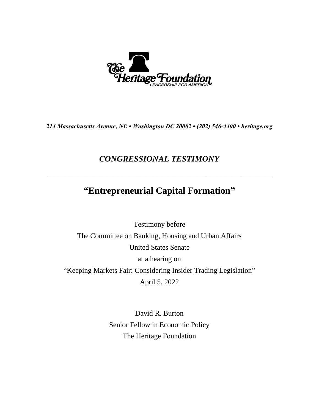

*214 Massachusetts Avenue, NE • Washington DC 20002 • (202) 546-4400 • heritage.org*

# *CONGRESSIONAL TESTIMONY*

# **"Entrepreneurial Capital Formation"**

\_\_\_\_\_\_\_\_\_\_\_\_\_\_\_\_\_\_\_\_\_\_\_\_\_\_\_\_\_\_\_\_\_\_\_\_\_\_\_\_\_\_\_\_\_\_\_\_\_\_\_\_\_\_\_\_\_\_\_\_\_\_\_\_\_\_\_\_\_\_\_\_

Testimony before The Committee on Banking, Housing and Urban Affairs United States Senate at a hearing on "Keeping Markets Fair: Considering Insider Trading Legislation" April 5, 2022

> David R. Burton Senior Fellow in Economic Policy The Heritage Foundation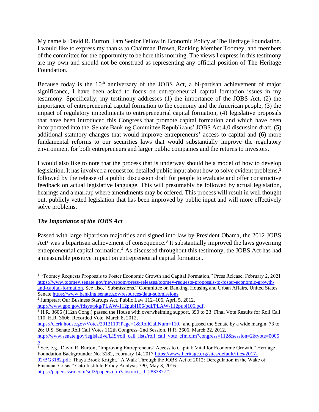My name is David R. Burton. I am Senior Fellow in Economic Policy at The Heritage Foundation. I would like to express my thanks to Chairman Brown, Ranking Member Toomey, and members of the committee for the opportunity to be here this morning. The views I express in this testimony are my own and should not be construed as representing any official position of The Heritage Foundation.

Because today is the  $10<sup>th</sup>$  anniversary of the JOBS Act, a bi-partisan achievement of major significance, I have been asked to focus on entrepreneurial capital formation issues in my testimony. Specifically, my testimony addresses (1) the importance of the JOBS Act, (2) the importance of entrepreneurial capital formation to the economy and the American people, (3) the impact of regulatory impediments to entrepreneurial capital formation, (4) legislative proposals that have been introduced this Congress that promote capital formation and which have been incorporated into the Senate Banking Committee Republicans' JOBS Act 4.0 discussion draft, (5) additional statutory changes that would improve entrepreneurs' access to capital and (6) more fundamental reforms to our securities laws that would substantially improve the regulatory environment for both entrepreneurs and larger public companies and the returns to investors.

I would also like to note that the process that is underway should be a model of how to develop legislation. It has involved a request for detailed public input about how to solve evident problems,<sup>1</sup> followed by the release of a public discussion draft for people to evaluate and offer constructive feedback on actual legislative language. This will presumably be followed by actual legislation, hearings and a markup where amendments may be offered. This process will result in well thought out, publicly vetted legislation that has been improved by public input and will more effectively solve problems.

## *The Importance of the JOBS Act*

Passed with large bipartisan majorities and signed into law by President Obama, the 2012 JOBS Act<sup>2</sup> was a bipartisan achievement of consequence.<sup>3</sup> It substantially improved the laws governing entrepreneurial capital formation.<sup>4</sup> As discussed throughout this testimony, the JOBS Act has had a measurable positive impact on entrepreneurial capital formation.

2 Jumpstart Our Business Startups Act, Public Law 112–106, April 5, 2012,

[http://www.senate.gov/legislative/LIS/roll\\_call\\_lists/roll\\_call\\_vote\\_cfm.cfm?congress=112&session=2&vote=0005](http://www.senate.gov/legislative/LIS/roll_call_lists/roll_call_vote_cfm.cfm?congress=112&session=2&vote=00055) [5.](http://www.senate.gov/legislative/LIS/roll_call_lists/roll_call_vote_cfm.cfm?congress=112&session=2&vote=00055)

https://papers.ssrn.com/sol3/papers.cfm?abstract\_id=2833877#.

<sup>&</sup>lt;sup>1</sup> "Toomey Requests Proposals to Foster Economic Growth and Capital Formation," Press Release, February 2, 2021 [https://www.toomey.senate.gov/newsroom/press-releases/toomey-requests-proposals-to-foster-economic-growth](https://www.toomey.senate.gov/newsroom/press-releases/toomey-requests-proposals-to-foster-economic-growth-and-capital-formation)[and-capital-formation.](https://www.toomey.senate.gov/newsroom/press-releases/toomey-requests-proposals-to-foster-economic-growth-and-capital-formation) See also, "Submissions," Committee on Banking, Housing and Urban Affairs, United States Senate [https://www.banking.senate.gov/resources/data-submissions.](https://www.banking.senate.gov/resources/data-submissions)

[http://www.gpo.gov/fdsys/pkg/PLAW-112publ106/pdf/PLAW-112publ106.pdf.](http://www.gpo.gov/fdsys/pkg/PLAW-112publ106/pdf/PLAW-112publ106.pdf)

<sup>&</sup>lt;sup>3</sup> H.R. 3606 (112th Cong.) passed the House with overwhelming support, 390 to 23: Final Vote Results for Roll Call 110, H.R. 3606, Recorded Vote, March 8, 2012,

[https://clerk.house.gov/Votes/2012110?Page=1&RollCallNum=110,](https://clerk.house.gov/Votes/2012110?Page=1&RollCallNum=110) and passed the Senate by a wide margin, 73 to 26: U.S. Senate Roll Call Votes 112th Congress–2nd Session, H.R. 3606, March 22, 2012,

 $\frac{2}{4}$  See, e.g., David R. Burton, "Improving Entrepreneurs' Access to Capital: Vital for Economic Growth," Heritage Foundation Backgrounder No. 3182, February 14, 2017 [https://www.heritage.org/sites/default/files/2017-](https://www.heritage.org/sites/default/files/2017-02/BG3182.pdf) [02/BG3182.pdf;](https://www.heritage.org/sites/default/files/2017-02/BG3182.pdf) Thaya Brook Knight, "A Walk Through the JOBS Act of 2012: Deregulation in the Wake of Financial Crisis," Cato Institute Policy Analysis 790, May 3, 2016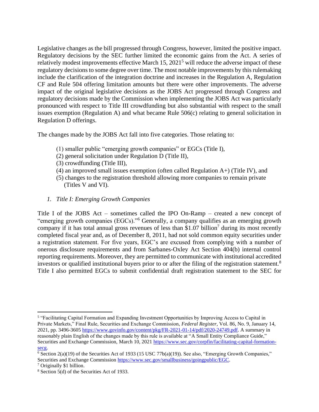Legislative changes as the bill progressed through Congress, however, limited the positive impact. Regulatory decisions by the SEC further limited the economic gains from the Act. A series of relatively modest improvements effective March 15, 2021<sup>5</sup> will reduce the adverse impact of these regulatory decisions to some degree over time. The most notable improvements by this rulemaking include the clarification of the integration doctrine and increases in the Regulation A, Regulation CF and Rule 504 offering limitation amounts but there were other improvements. The adverse impact of the original legislative decisions as the JOBS Act progressed through Congress and regulatory decisions made by the Commission when implementing the JOBS Act was particularly pronounced with respect to Title III crowdfunding but also substantial with respect to the small issues exemption (Regulation A) and what became Rule 506(c) relating to general solicitation in Regulation D offerings.

The changes made by the JOBS Act fall into five categories. Those relating to:

- (1) smaller public "emerging growth companies" or EGCs (Title I),
- (2) general solicitation under Regulation D (Title II),
- (3) crowdfunding (Title III),
- (4) an improved small issues exemption (often called Regulation A+) (Title IV), and
- (5) changes to the registration threshold allowing more companies to remain private (Titles V and VI).
- *1. Title I: Emerging Growth Companies*

Title I of the JOBS Act – sometimes called the IPO On-Ramp – created a new concept of "emerging growth companies (EGCs)."<sup>6</sup> Generally, a company qualifies as an emerging growth company if it has total annual gross revenues of less than \$1.07 billion<sup>7</sup> during its most recently completed fiscal year and, as of December 8, 2011, had not sold common equity securities under a registration statement. For five years, EGC's are excused from complying with a number of onerous disclosure requirements and from Sarbanes-Oxley Act Section 404(b) internal control reporting requirements. Moreover, they are permitted to communicate with institutional accredited investors or qualified institutional buyers prior to or after the filing of the registration statement.<sup>8</sup> Title I also permitted EGCs to submit confidential draft registration statement to the SEC for

<sup>&</sup>lt;sup>5</sup> "Facilitating Capital Formation and Expanding Investment Opportunities by Improving Access to Capital in Private Markets," Final Rule, Securities and Exchange Commission, *Federal Register*, Vol. 86, No. 9, January 14, 2021, pp. 3496-3605 [https://www.govinfo.gov/content/pkg/FR-2021-01-14/pdf/2020-24749.pdf.](https://www.govinfo.gov/content/pkg/FR-2021-01-14/pdf/2020-24749.pdf) A summary in reasonably plain English of the changes made by this rule is available at "A Small Entity Compliance Guide," Securities and Exchange Commission, March 10, 2021 [https://www.sec.gov/corpfin/facilitating-capital-formation](https://www.sec.gov/corpfin/facilitating-capital-formation-secg)[secg.](https://www.sec.gov/corpfin/facilitating-capital-formation-secg)

<sup>&</sup>lt;sup>6</sup> Section 2(a)(19) of the Securities Act of 1933 (15 USC 77b(a)(19)). See also, "Emerging Growth Companies," Securities and Exchange Commission [https://www.sec.gov/smallbusiness/goingpublic/EGC.](https://www.sec.gov/smallbusiness/goingpublic/EGC)

<sup>7</sup> Originally \$1 billion.

<sup>&</sup>lt;sup>8</sup> Section 5(d) of the Securities Act of 1933.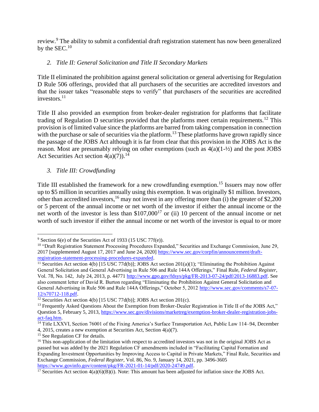review.<sup>9</sup> The ability to submit a confidential draft registration statement has now been generalized by the  $SEC.10$ 

# *2. Title II: General Solicitation and Title II Secondary Markets*

Title II eliminated the prohibition against general solicitation or general advertising for Regulation D Rule 506 offerings, provided that all purchasers of the securities are accredited investors and that the issuer takes "reasonable steps to verify" that purchasers of the securities are accredited investors.<sup>11</sup>

Title II also provided an exemption from broker-dealer registration for platforms that facilitate trading of Regulation D securities provided that the platforms meet certain requirements.<sup>12</sup> This provision is of limited value since the platforms are barred from taking compensation in connection with the purchase or sale of securities via the platform.<sup>13</sup> These platforms have grown rapidly since the passage of the JOBS Act although it is far from clear that this provision in the JOBS Act is the reason. Most are presumably relying on other exemptions (such as 4(a)(1-½) and the post JOBS Act Securities Act section  $4(a)(7)$ .<sup>14</sup>

*3. Title III: Crowdfunding*

Title III established the framework for a new crowdfunding exemption.<sup>15</sup> Issuers may now offer up to \$5 million in securities annually using this exemption. It was originally \$1 million. Investors, other than accredited investors,<sup>16</sup> may not invest in any offering more than (i) the greater of \$2,200 or 5 percent of the annual income or net worth of the investor if either the annual income or the net worth of the investor is less than  $$107,000^{17}$  or (ii) 10 percent of the annual income or net worth of such investor if either the annual income or net worth of the investor is equal to or more

 $9$  Section 6(e) of the Securities Act of 1933 (15 USC 77f(e)).

<sup>&</sup>lt;sup>10</sup> "Draft Registration Statement Processing Procedures Expanded," Securities and Exchange Commission, June 29, 2017 [supplemented August 17, 2017 and June 24, 2020] [https://www.sec.gov/corpfin/announcement/draft](https://www.sec.gov/corpfin/announcement/draft-registration-statement-processing-procedures-expanded)[registration-statement-processing-procedures-expanded.](https://www.sec.gov/corpfin/announcement/draft-registration-statement-processing-procedures-expanded)

<sup>&</sup>lt;sup>11</sup> Securities Act section 4(b) [15 USC 77d(b)]; JOBS Act section 201(a)(1); "Eliminating the Prohibition Against General Solicitation and General Advertising in Rule 506 and Rule 144A Offerings," Final Rule, *Federal Register*, Vol. 78, No. 142, July 24, 2013, p. 44771 [http://www.gpo.gov/fdsys/pkg/FR-2013-07-24/pdf/2013-16883.pdf.](http://www.gpo.gov/fdsys/pkg/FR-2013-07-24/pdf/2013-16883.pdf) See also comment letter of David R. Burton regarding "Eliminating the Prohibition Against General Solicitation and General Advertising in Rule 506 and Rule 144A Offerings," October 5, 2012 [http://www.sec.gov/comments/s7-07-](http://www.sec.gov/comments/s7-07-12/s70712-118.pdf) [12/s70712-118.pdf.](http://www.sec.gov/comments/s7-07-12/s70712-118.pdf)

<sup>&</sup>lt;sup>12</sup> Securities Act section 4(b) [15 USC 77d(b)]; JOBS Act section 201(c).

<sup>&</sup>lt;sup>13</sup> Frequently Asked Questions About the Exemption from Broker-Dealer Registration in Title II of the JOBS Act," Question 5, February 5, 2013, [https://www.sec.gov/divisions/marketreg/exemption-broker-dealer-registration-jobs](https://www.sec.gov/divisions/marketreg/exemption-broker-dealer-registration-jobs-act-faq.htm)[act-faq.htm.](https://www.sec.gov/divisions/marketreg/exemption-broker-dealer-registration-jobs-act-faq.htm)

<sup>&</sup>lt;sup>14</sup> Title LXXVI, Section 76001 of the Fixing America's Surface Transportation Act, Public Law 114–94, December 4, 2015, creates a new exemption at Securities Act, Section 4(a)(7).

<sup>&</sup>lt;sup>15</sup> See Regulation CF for details.

<sup>&</sup>lt;sup>16</sup> This non-application of the limitation with respect to accredited investors was not in the original JOBS Act as passed but was added by the 2021 Regulation CF amendments included in "Facilitating Capital Formation and Expanding Investment Opportunities by Improving Access to Capital in Private Markets," Final Rule, Securities and Exchange Commission, *Federal Register*, Vol. 86, No. 9, January 14, 2021, pp. 3496-3605 [https://www.govinfo.gov/content/pkg/FR-2021-01-14/pdf/2020-24749.pdf.](https://www.govinfo.gov/content/pkg/FR-2021-01-14/pdf/2020-24749.pdf)

<sup>&</sup>lt;sup>17</sup> Securities Act section  $4(a)(6)(B)(i)$ . Note: This amount has been adjusted for inflation since the JOBS Act.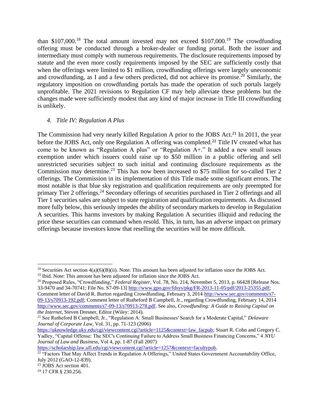than  $$107,000$ <sup>18</sup>. The total amount invested may not exceed  $$107,000$ <sup>19</sup>. The crowdfunding offering must be conducted through a broker-dealer or funding portal. Both the issuer and intermediary must comply with numerous requirements. The disclosure requirements imposed by statute and the even more costly requirements imposed by the SEC are sufficiently costly that when the offerings were limited to \$1 million, crowdfunding offerings were largely uneconomic and crowdfunding, as I and a few others predicted, did not achieve its promise.<sup>20</sup> Similarly, the regulatory imposition on crowdfunding portals has made the operation of such portals largely unprofitable. The 2021 revisions to Regulation CF may help alleviate these problems but the changes made were sufficiently modest that any kind of major increase in Title III crowdfunding is unlikely.

#### *4. Title IV: Regulation A Plus*

The Commission had very nearly killed Regulation A prior to the JOBS Act.<sup>21</sup> In 2011, the year before the JOBS Act, only one Regulation A offering was completed.<sup>22</sup> Title IV created what has come to be known as "Regulation A plus" or "Regulation A+." It added a new small issues exemption under which issuers could raise up to \$50 million in a public offering and sell unrestricted securities subject to such initial and continuing disclosure requirements as the Commission may determine.<sup>23</sup> This has now been increased to \$75 million for so-called Tier 2 offerings. The Commission in its implementation of this Title made some significant errors. The most notable is that blue sky registration and qualification requirements are only preempted for primary Tier 2 offerings.<sup>24</sup> Secondary offerings of securities purchased in Tier 2 offerings and all Tier 1 securities sales are subject to state registration and qualification requirements. As discussed more fully below, this seriously impedes the ability of secondary markets to develop in Regulation A securities. This harms investors by making Regulation A securities illiquid and reducing the price these securities can command when resold. This, in turn, has an adverse impact on primary offerings because investors know that reselling the securities will be more difficult.

Comment letter of David R. Burton regarding Crowdfunding, February 3, 2014 [http://www.sec.gov/comments/s7-](http://www.sec.gov/comments/s7-09-13/s70913-192.pdf) [09-13/s70913-192.pdf;](http://www.sec.gov/comments/s7-09-13/s70913-192.pdf) Comment letter of Rutheford B Campbell, Jr., regarding Crowdfunding, February 14, 2014 [http://www.sec.gov/comments/s7-09-13/s70913-278.pdf.](http://www.sec.gov/comments/s7-09-13/s70913-278.pdf) See also, *Crowdfunding: A Guide to Raising Capital on the Internet*, Steven Dresner, Editor (Wiley: 2014).

<sup>21</sup> See Rutheford B Campbell, Jr., "Regulation A: Small Businesses' Search for a Moderate Capital," *Delaware Journal of Corporate Law*, Vol. 31, pp. 71-123 (2006)

[https://uknowledge.uky.edu/cgi/viewcontent.cgi?article=1125&context=law\\_facpub;](https://uknowledge.uky.edu/cgi/viewcontent.cgi?article=1125&context=law_facpub) Stuart R. Cohn and Gregory C. Yadley, "Capital Offense: The SEC's Continuing Failure to Address Small Business Financing Concerns," 4 *NYU Journal of Law and Business*, Vol 4, pp. 1-87 (Fall 2007)

[https://scholarship.law.ufl.edu/cgi/viewcontent.cgi?article=1257&context=facultypub.](https://scholarship.law.ufl.edu/cgi/viewcontent.cgi?article=1257&context=facultypub)

<sup>&</sup>lt;sup>18</sup> Securities Act section  $4(a)(6)(B)(ii)$ . Note: This amount has been adjusted for inflation since the JOBS Act.  $19$  Ibid. Note: This amount has been adjusted for inflation since the JOBS Act.

<sup>20</sup> Proposed Rules, "Crowdfunding," *Federal Register*, Vol. 78, No. 214, November 5, 2013, p. 66428 [Release Nos. 33-9470 and 34-70741; File No. S7-09-13[\] http://www.gpo.gov/fdsys/pkg/FR-2013-11-05/pdf/2013-25355.pdf;](http://www.gpo.gov/fdsys/pkg/FR-2013-11-05/pdf/2013-25355.pdf)

<sup>&</sup>lt;sup>22 "</sup>Factors That May Affect Trends in Regulation A Offerings," United States Government Accountability Office, July 2012 (GAO-12-839).

<sup>23</sup> JOBS Act section 401.

<sup>24</sup> 17 CFR § 230.256.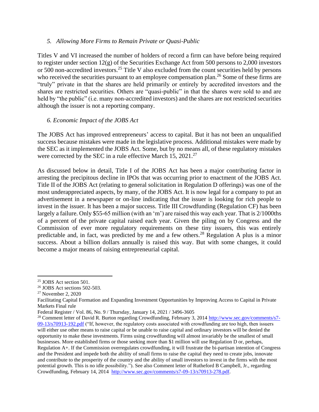#### *5. Allowing More Firms to Remain Private or Quasi-Public*

Titles V and VI increased the number of holders of record a firm can have before being required to register under section 12(g) of the Securities Exchange Act from 500 persons to 2,000 investors or 500 non-accredited investors.<sup>25</sup> Title V also excluded from the count securities held by persons who received the securities pursuant to an employee compensation plan.<sup>26</sup> Some of these firms are "truly" private in that the shares are held primarily or entirely by accredited investors and the shares are restricted securities. Others are "quasi-public" in that the shares were sold to and are held by "the public" (i.e. many non-accredited investors) and the shares are not restricted securities although the issuer is not a reporting company.

#### *6. Economic Impact of the JOBS Act*

The JOBS Act has improved entrepreneurs' access to capital. But it has not been an unqualified success because mistakes were made in the legislative process. Additional mistakes were made by the SEC as it implemented the JOBS Act. Some, but by no means all, of these regulatory mistakes were corrected by the SEC in a rule effective March 15, 2021.<sup>27</sup>

As discussed below in detail, Title I of the JOBS Act has been a major contributing factor in arresting the precipitous decline in IPOs that was occurring prior to enactment of the JOBS Act. Title II of the JOBS Act (relating to general solicitation in Regulation D offerings) was one of the most underappreciated aspects, by many, of the JOBS Act. It is now legal for a company to put an advertisement in a newspaper or on-line indicating that the issuer is looking for rich people to invest in the issuer. It has been a major success. Title III Crowdfunding (Regulation CF) has been largely a failure. Only \$55-65 million (with an 'm') are raised this way each year. That is 2/1000ths of a percent of the private capital raised each year. Given the piling on by Congress and the Commission of ever more regulatory requirements on these tiny issuers, this was entirely predictable and, in fact, was predicted by me and a few others.<sup>28</sup> Regulation A plus is a minor success. About a billion dollars annually is raised this way. But with some changes, it could become a major means of raising entrepreneurial capital.

 $25$  JOBS Act section 501.

<sup>26</sup> JOBS Act sections 502-503.

<sup>27</sup> November 2, 2020

Facilitating Capital Formation and Expanding Investment Opportunities by Improving Access to Capital in Private Markets Final rule

Federal Register / Vol. 86, No. 9 / Thursday, January 14, 2021 / 3496-3605

<sup>&</sup>lt;sup>28</sup> Comment letter of David R. Burton regarding Crowdfunding, February 3, 2014 [http://www.sec.gov/comments/s7-](http://www.sec.gov/comments/s7-09-13/s70913-192.pdf) [09-13/s70913-192.pdf](http://www.sec.gov/comments/s7-09-13/s70913-192.pdf) ("If, however, the regulatory costs associated with crowdfunding are too high, then issuers will either use other means to raise capital or be unable to raise capital and ordinary investors will be denied the opportunity to make these investments. Firms using crowdfunding will almost invariably be the smallest of small businesses. More established firms or those seeking more than \$1 million will use Regulation D or, perhaps, Regulation A+. If the Commission overregulates crowdfunding, it will frustrate the bi-partisan intention of Congress and the President and impede both the ability of small firms to raise the capital they need to create jobs, innovate and contribute to the prosperity of the country and the ability of small investors to invest in the firms with the most potential growth. This is no idle possibility."). See also Comment letter of Rutheford B Campbell, Jr., regarding Crowdfunding, February 14, 2014 [http://www.sec.gov/comments/s7-09-13/s70913-278.pdf.](http://www.sec.gov/comments/s7-09-13/s70913-278.pdf)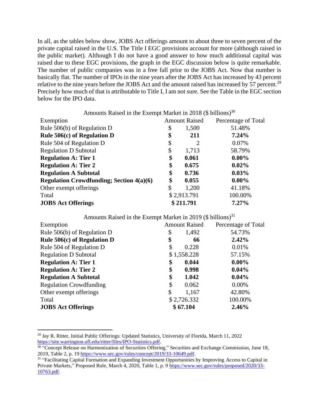In all, as the tables below show, JOBS Act offerings amount to about three to seven percent of the private capital raised in the U.S. The Title I EGC provisions account for more (although raised in the public market). Although I do not have a good answer to how much additional capital was raised due to these EGC provisions, the graph in the EGC discussion below is quite remarkable. The number of public companies was in a free fall prior to the JOBS Act. Now that number is basically flat. The number of IPOs in the nine years after the JOBS Act has increased by 43 percent relative to the nine years before the JOBS Act and the amount raised has increased by 57 percent.<sup>29</sup> Precisely how much of that is attributable to Title I, I am not sure. See the Table in the EGC section below for the IPO data.

| Amounts Raised in the Exempt Market in 2018 (\$ billions) <sup>30</sup> |           |                      |                     |  |
|-------------------------------------------------------------------------|-----------|----------------------|---------------------|--|
| Exemption                                                               |           | <b>Amount Raised</b> | Percentage of Total |  |
| Rule $506(b)$ of Regulation D                                           | \$        | 1,500                | 51.48%              |  |
| Rule 506(c) of Regulation D                                             | \$        | 211                  | 7.24%               |  |
| Rule 504 of Regulation D                                                | \$        | 2                    | 0.07%               |  |
| <b>Regulation D Subtotal</b>                                            | \$        | 1,713                | 58.79%              |  |
| <b>Regulation A: Tier 1</b>                                             | \$        | 0.061                | $0.00\%$            |  |
| <b>Regulation A: Tier 2</b>                                             | \$        | 0.675                | $0.02\%$            |  |
| <b>Regulation A Subtotal</b>                                            | \$        | 0.736                | $0.03\%$            |  |
| <b>Regulation Crowdfunding; Section 4(a)(6)</b>                         | \$        | 0.055                | $0.00\%$            |  |
| Other exempt offerings                                                  | \$        | 1,200                | 41.18%              |  |
| Total                                                                   |           | \$2,913.791          | 100.00%             |  |
| <b>JOBS Act Offerings</b>                                               | \$211.791 |                      | $7.27\%$            |  |

| Amounts Raised in the Exempt Market in 2019 (\$ billions) <sup>31</sup> |                      |             |                     |
|-------------------------------------------------------------------------|----------------------|-------------|---------------------|
| Exemption                                                               | <b>Amount Raised</b> |             | Percentage of Total |
| Rule $506(b)$ of Regulation D                                           | \$                   | 1,492       | 54.73%              |
| Rule $506(c)$ of Regulation D                                           | \$                   | 66          | 2.42%               |
| Rule 504 of Regulation D                                                | \$                   | 0.228       | 0.01%               |
| <b>Regulation D Subtotal</b>                                            |                      | \$1,558.228 | 57.15%              |
| <b>Regulation A: Tier 1</b>                                             | \$                   | 0.044       | $0.00\%$            |
| <b>Regulation A: Tier 2</b>                                             | \$                   | 0.998       | $0.04\%$            |
| <b>Regulation A Subtotal</b>                                            | \$                   | 1.042       | 0.04%               |
| <b>Regulation Crowdfunding</b>                                          | \$                   | 0.062       | 0.00%               |
| Other exempt offerings                                                  | \$                   | 1,167       | 42.80%              |
| Total                                                                   |                      | \$2,726.332 | 100.00%             |
| <b>JOBS Act Offerings</b>                                               |                      | \$67.104    | 2.46%               |

<sup>&</sup>lt;sup>29</sup> Jay R. Ritter, Initial Public Offerings: Updated Statistics, University of Florida, March 11, 2022 [https://site.warrington.ufl.edu/ritter/files/IPO-Statistics.pdf.](https://site.warrington.ufl.edu/ritter/files/IPO-Statistics.pdf)

<sup>&</sup>lt;sup>30</sup> "Concept Release on Harmonization of Securities Offering," Securities and Exchange Commission, June 18, 2019, Table 2, p. 19 [https://www.sec.gov/rules/concept/2019/33-10649.pdf.](https://www.sec.gov/rules/concept/2019/33-10649.pdf)

<sup>&</sup>lt;sup>31</sup> "Facilitating Capital Formation and Expanding Investment Opportunities by Improving Access to Capital in Private Markets," Proposed Rule, March 4, 2020, Table 1, p. 9 [https://www.sec.gov/rules/proposed/2020/33-](https://www.sec.gov/rules/proposed/2020/33-10763.pdf) [10763.pdf.](https://www.sec.gov/rules/proposed/2020/33-10763.pdf)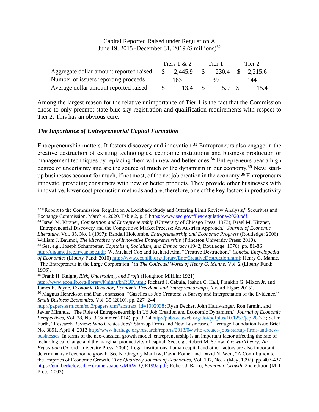#### Capital Reported Raised under Regulation A June 19, 2015 -December 31, 2019 (\$ millions)<sup>32</sup>

|                                         |               | Tiers $1 & 2$ |               | Tier 1 |  | Tier 2           |  |
|-----------------------------------------|---------------|---------------|---------------|--------|--|------------------|--|
| Aggregate dollar amount reported raised | $\mathcal{S}$ | 2,445.9       | $\mathbb{S}$  |        |  | 230.4 \$ 2,215.6 |  |
| Number of issuers reporting proceeds    |               | 183.          |               | 39.    |  | 144              |  |
| Average dollar amount reported raised   |               | 13.4          | $\mathcal{S}$ | 5.9 \$ |  | 15.4             |  |

Among the largest reason for the relative unimportance of Tier 1 is the fact that the Commission chose to only preempt state blue sky registration and qualification requirements with respect to Tier 2. This has an obvious cure.

#### *The Importance of Entrepreneurial Capital Formation*

Entrepreneurship matters. It fosters discovery and innovation.<sup>33</sup> Entrepreneurs also engage in the creative destruction of existing technologies, economic institutions and business production or management techniques by replacing them with new and better ones.<sup>34</sup> Entrepreneurs bear a high degree of uncertainty and are the source of much of the dynamism in our economy.<sup>35</sup> New, startup businesses account for much, if not most, of the net job creation in the economy.<sup>36</sup> Entrepreneurs innovate, providing consumers with new or better products. They provide other businesses with innovative, lower cost production methods and are, therefore, one of the key factors in productivity

<sup>35</sup> Frank H. Knight, *Risk, Uncertainty, and Profit* (Houghton Mifflin: 1921)

[http://www.econlib.org/library/Knight/knRUP.html;](http://www.econlib.org/library/Knight/knRUP.html) Richard J. Cebula, Joshua C. Hall, Franklin G. Mixon Jr. and James E. Payne, *Economic Behavior, Economic Freedom, and Entrepreneurship* (Edward Elgar: 2015).

<sup>&</sup>lt;sup>32</sup> "Report to the Commission, Regulation A Lookback Study and Offering Limit Review Analysis," Securities and Exchange Commission, March 4, 2020, Table 2, p. 8 [https://www.sec.gov/files/regulationa-2020.pdf.](https://www.sec.gov/files/regulationa-2020.pdf)

<sup>33</sup> Israel M. Kirzner, *Competition and Entrepreneurship* (University of Chicago Press: 1973); Israel M. Kirzner, "Entrepreneurial Discovery and the Competitive Market Process: An Austrian Approach," *Journal of Economic Literature*, Vol. 35, No. 1 (1997); Randall Holcombe, *Entrepreneurship and Economic Progress* (Routledge: 2006); William J. Baumol, *The Microtheory of Innovative Entrepreneurship* (Princeton University Press: 2010).

<sup>34</sup> See, e.g., Joseph Schumpeter, *Capitalism, Socialism, and Democracy* (1942; Routledge: 1976), pp. 81-86 [http://digamo.free.fr/capisoc.pdf;](http://digamo.free.fr/capisoc.pdf) W. Michael Cox and Richard Alm, "Creative Destruction," *Concise Encyclopedia of Economics* (Liberty Fund: 2010[\) http://www.econlib.org/library/Enc/CreativeDestruction.html;](http://www.econlib.org/library/Enc/CreativeDestruction.html) Henry G. Manne, "The Entrepreneur in the Large Corporation," in *The Collected Works of Henry G. Manne*, Vol. 2 (Liberty Fund: 1996).

<sup>36</sup> Magnus Henrekson and Dan Johansson, "Gazelles as Job Creators: A Survey and Interpretation of the Evidence," *Small Business Economics*, Vol. 35 (2010), pp. 227–244

[http://papers.ssrn.com/sol3/papers.cfm?abstract\\_id=1092938;](http://papers.ssrn.com/sol3/papers.cfm?abstract_id=1092938) Ryan Decker, John Haltiwanger, Ron Jarmin, and Javier Miranda, "The Role of Entrepreneurship in US Job Creation and Economic Dynamism," *Journal of Economic Perspectives*, Vol. 28, No. 3 (Summer 2014), pp. 3–24 [http://pubs.aeaweb.org/doi/pdfplus/10.1257/jep.28.3.3;](http://pubs.aeaweb.org/doi/pdfplus/10.1257/jep.28.3.3) Salim Furth, "Research Review: Who Creates Jobs? Start-up Firms and New Businesses," Heritage Foundation Issue Brief No. 3891, April 4, 2013 [http://www.heritage.org/research/reports/2013/04/who-creates-jobs-startup-firms-and-new](http://www.heritage.org/research/reports/2013/04/who-creates-jobs-startup-firms-and-new-businesses)[businesses.](http://www.heritage.org/research/reports/2013/04/who-creates-jobs-startup-firms-and-new-businesses) In terms of the neo-classical growth model, entrepreneurship is an important factor affecting the rate of technological change and the marginal productivity of capital. See, e.g., Robert M. Solow, *Growth Theory: An Exposition* (Oxford University Press: 2000). Legal institutions, human capital and other factors are also important determinants of economic growth. See N. Gregory Mankiw, David Romer and David N. Weil, "A Contribution to the Empirics of Economic Growth," *The Quarterly Journal of Economics*, Vol. 107, No. 2 (May, 1992), pp. 407-437 [https://eml.berkeley.edu/~dromer/papers/MRW\\_QJE1992.pdf;](https://eml.berkeley.edu/~dromer/papers/MRW_QJE1992.pdf) Robert J. Barro, *Economic Growth*, 2nd edition (MIT Press: 2003).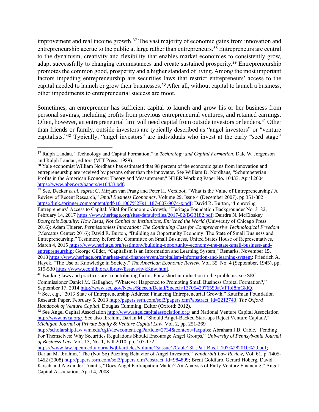improvement and real income growth.<sup>37</sup> The vast majority of economic gains from innovation and entrepreneurship accrue to the public at large rather than entrepreneurs.<sup>38</sup> Entrepreneurs are central to the dynamism, creativity and flexibility that enables market economies to consistently grow, adapt successfully to changing circumstances and create sustained prosperity.<sup>39</sup> Entrepreneurship promotes the common good, prosperity and a higher standard of living. Among the most important factors impeding entrepreneurship are securities laws that restrict entrepreneurs' access to the capital needed to launch or grow their businesses.<sup>40</sup> After all, without capital to launch a business, other impediments to entrepreneurial success are moot.

Sometimes, an entrepreneur has sufficient capital to launch and grow his or her business from personal savings, including profits from previous entrepreneurial ventures, and retained earnings. Often, however, an entrepreneurial firm will need capital from outside investors or lenders.<sup>41</sup> Other than friends or family, outside investors are typically described as "angel investors" or "venture capitalists."<sup>42</sup> Typically, "angel investors" are individuals who invest at the early "seed stage"

<sup>39</sup> See, Decker *et al*, *supra*; C. Mirjam van Praag and Peter H. Versloot, "What is the Value of Entrepreneurship? A Review of Recent Research," *Small Business Economics*, Volume 29, Issue 4 (December 2007), pp 351-382 [https://link.springer.com/content/pdf/10.1007%2Fs11187-007-9074-x.pdf;](https://link.springer.com/content/pdf/10.1007%2Fs11187-007-9074-x.pdf) David R. Burton, "Improving Entrepreneurs' Access to Capital: Vital for Economic Growth," Heritage Foundation Backgrounder No. 3182, February 14, 2017 [https://www.heritage.org/sites/default/files/2017-02/BG3182.pdf;](https://www.heritage.org/sites/default/files/2017-02/BG3182.pdf) Deirdre N. McCloskey *Bourgeois Equality: How Ideas, Not Capital or Institutions, Enriched the World* (University of Chicago Press: 2016); Adam Thierer, *Permissionless Innovation: The Continuing Case for Comprehensive Technological Freedom* (Mercatus Center: 2016); David R. Burton, "Building an Opportunity Economy: The State of Small Business and Entrepreneurship," Testimony before the Committee on Small Business, United States House of Representatives, March 4, 2015 [https://www.heritage.org/testimony/building-opportunity-economy-the-state-small-business-and](https://www.heritage.org/testimony/building-opportunity-economy-the-state-small-business-and-entrepreneurship)[entrepreneurship;](https://www.heritage.org/testimony/building-opportunity-economy-the-state-small-business-and-entrepreneurship) George Gilder, "Capitalism is an Information and Learning System," Remarks, November 15, 201[8 https://www.heritage.org/markets-and-finance/event/capitalism-information-and-learning-system;](https://www.heritage.org/markets-and-finance/event/capitalism-information-and-learning-system) Friedrich A. Hayek, "The Use of Knowledge in Society," *The American Economic Review*, Vol. 35, No. 4 (September, 1945), pp. 519-530 [https://www.econlib.org/library/Essays/hykKnw.html.](https://www.econlib.org/library/Essays/hykKnw.html)

<sup>37</sup> Ralph Landau, "Technology and Capital Formation," in *Technology and Capital Formation*, Dale W. Jorgenson and Ralph Landau, editors (MIT Press: 1989).

<sup>&</sup>lt;sup>38</sup> Yale economist William Nordhaus has estimated that 98 percent of the economic gains from innovation and entrepreneurship are received by persons other than the innovator. See William D. Nordhaus, "Schumpeterian Profits in the American Economy: Theory and Measurement," NBER Working Paper No. 10433, April 2004 [https://www.nber.org/papers/w10433.pdf.](https://www.nber.org/papers/w10433.pdf) 

<sup>&</sup>lt;sup>40</sup> Banking laws and practices are a contributing factor. For a short introduction to the problems, see SEC Commissioner Daniel M. Gallagher, "Whatever Happened to Promoting Small Business Capital Formation?," September 17, 2014 [http://www.sec.gov/News/Speech/Detail/Speech/1370542976550#.VFfbI8mGklQ.](http://www.sec.gov/News/Speech/Detail/Speech/1370542976550#.VFfbI8mGklQ)

<sup>&</sup>lt;sup>41</sup> See, e.g., "2013 State of Entrepreneurship Address: Financing Entrepreneurial Growth," Kauffman Foundation Research Paper, February 5, 2013 [http://papers.ssrn.com/sol3/papers.cfm?abstract\\_id=2212743;](http://papers.ssrn.com/sol3/papers.cfm?abstract_id=2212743) *The Oxford Handbook of Venture Capital*, Douglas Cumming, Editor (Oxford: 2012).

<sup>&</sup>lt;sup>42</sup> See Angel Capital Association<http://www.angelcapitalassociation.org/> and National Venture Capital Association [http://www.nvca.org/.](http://www.nvca.org/) See also Ibrahim, Darian M., "Should Angel-Backed Start-ups Reject Venture Capital?," *Michigan Journal of Private Equity & Venture Capital Law*, Vol. 2, pp. 251-269

[http://scholarship.law.wm.edu/cgi/viewcontent.cgi?article=2734&context=facpubs;](http://scholarship.law.wm.edu/cgi/viewcontent.cgi?article=2734&context=facpubs) Abraham J.B. Cable, "Fending For Themselves: Why Securities Regulations Should Encourage Angel Groups," *University of Pennsylvania Journal of Business Law*, Vol. 13, No. 1, Fall 2010, pp. 107-172

[https://www.law.upenn.edu/journals/jbl/articles/volume13/issue1/Cable13U.Pa.J.Bus.L.107%282010%29.pdf;](https://www.law.upenn.edu/journals/jbl/articles/volume13/issue1/Cable13U.Pa.J.Bus.L.107%282010%29.pdf) Darian M. Ibrahim, "The (Not So) Puzzling Behavior of Angel Investors," *Vanderbilt Law Review*, Vol. 61, p. 1405- 1452 (2008[\) http://papers.ssrn.com/sol3/papers.cfm?abstract\\_id=984899;](http://papers.ssrn.com/sol3/papers.cfm?abstract_id=984899) Brent Goldfarb, Gerard Hoberg, David Kirsch and Alexander Triantis, "Does Angel Participation Matter? An Analysis of Early Venture Financing," Angel Capital Association, April 4, 2008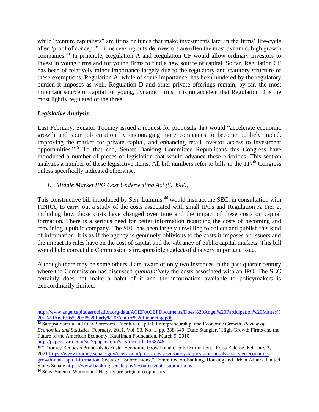while "venture capitalists" are firms or funds that make investments later in the firms' life-cycle after "proof of concept." Firms seeking outside investors are often the most dynamic, high growth companies.<sup>43</sup> In principle, Regulation A and Regulation CF would allow ordinary investors to invest in young firms and for young firms to find a new source of capital. So far, Regulation CF has been of relatively minor importance largely due to the regulatory and statutory structure of these exemptions. Regulation A, while of some importance, has been hindered by the regulatory burden it imposes as well. Regulation D and other private offerings remain, by far, the most important source of capital for young, dynamic firms. It is no accident that Regulation D is the most lightly regulated of the three.

#### *Legislative Analysis*

Last February, Senator Toomey issued a request for proposals that would "accelerate economic growth and spur job creation by encouraging more companies to become publicly traded, improving the market for private capital, and enhancing retail investor access to investment opportunities."<sup>45</sup> To that end, Senate Banking Committee Republicans this Congress have introduced a number of pieces of legislation that would advance these priorities. This section analyzes a number of these legislative items. All bill numbers refer to bills in the  $117<sup>th</sup>$  Congress unless specifically indicated otherwise.

#### *1. Middle Market IPO Cost Underwriting Act (S. 3980)*

This constructive bill introduced by Sen. Lummis,<sup>46</sup> would instruct the SEC, in consultation with FINRA, to carry out a study of the costs associated with small IPOs and Regulation A Tier 2, including how those costs have changed over time and the impact of these costs on capital formation. There is a serious need for better information regarding the costs of becoming and remaining a public company. The SEC has been largely unwilling to collect and publish this kind of information. It is as if the agency is genuinely oblivious to the costs it imposes on issuers and the impact its rules have on the cost of capital and the vibrancy of public capital markets. This bill would help correct the Commission's irresponsible neglect of this very important issue.

Although there may be some others, I am aware of only two instances in the past quarter century where the Commission has discussed *quantitatively* the costs associated with an IPO. The SEC certainly does not make a habit of it and the information available to policymakers is extraordinarily limited.

[http://www.angelcapitalassociation.org/data/ACEF/ACEFDocuments/Does%20Angel%20Participation%20Matter%](http://www.angelcapitalassociation.org/data/ACEF/ACEFDocuments/Does%20Angel%20Participation%20Matter%20-%20Analysis%20of%20Early%20Venture%20Financing.pdf) [20-%20Analysis%20of%20Early%20Venture%20Financing.pdf.](http://www.angelcapitalassociation.org/data/ACEF/ACEFDocuments/Does%20Angel%20Participation%20Matter%20-%20Analysis%20of%20Early%20Venture%20Financing.pdf)

<sup>43</sup> Sampsa Samila and Olav Sorenson, "Venture Capital, Entrepreneurship, and Economic Growth, *Review of Economics and Statistics*, February, 2011, Vol. 93, No. 1, pp. 338-349; Dane Stangler, "High-Growth Firms and the Future of the American Economy, Kauffman Foundation, March 9, 2010 [http://papers.ssrn.com/sol3/papers.cfm?abstract\\_id=1568246.](http://papers.ssrn.com/sol3/papers.cfm?abstract_id=1568246)

<sup>&</sup>lt;sup>45</sup> "Toomey Requests Proposals to Foster Economic Growth and Capital Formation," Press Release, February 2, 202[1 https://www.toomey.senate.gov/newsroom/press-releases/toomey-requests-proposals-to-foster-economic](https://www.toomey.senate.gov/newsroom/press-releases/toomey-requests-proposals-to-foster-economic-growth-and-capital-formation)[growth-and-capital-formation.](https://www.toomey.senate.gov/newsroom/press-releases/toomey-requests-proposals-to-foster-economic-growth-and-capital-formation) See also, "Submissions," Committee on Banking, Housing and Urban Affairs, United

States Senate [https://www.banking.senate.gov/resources/data-submissions.](https://www.banking.senate.gov/resources/data-submissions) <sup>46</sup> Sens. Sinema, Warner and Hagerty are original cosponsors.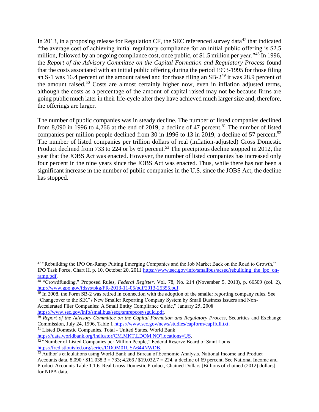In 2013, in a proposing release for Regulation CF, the SEC referenced survey data<sup>47</sup> that indicated "the average cost of achieving initial regulatory compliance for an initial public offering is \$2.5 million, followed by an ongoing compliance cost, once public, of \$1.5 million per year."<sup>48</sup> In 1996, the *Report of the Advisory Committee on the Capital Formation and Regulatory Process* found that the costs associated with an initial public offering during the period 1993-1995 for those filing an S-1 was 16.4 percent of the amount raised and for those filing an  $SB-2^{49}$  it was 28.9 percent of the amount raised.<sup>50</sup> Costs are almost certainly higher now, even in inflation adjusted terms, although the costs as a percentage of the amount of capital raised may not be because firms are going public much later in their life-cycle after they have achieved much larger size and, therefore, the offerings are larger.

The number of public companies was in steady decline. The number of listed companies declined from 8,090 in 1996 to 4,266 at the end of 2019, a decline of 47 percent.<sup>51</sup> The number of listed companies per million people declined from 30 in 1996 to 13 in 2019, a decline of 57 percent.<sup>52</sup> The number of listed companies per trillion dollars of real (inflation-adjusted) Gross Domestic Product declined from 733 to 224 or by 69 percent.<sup>53</sup> The precipitous decline stopped in 2012, the year that the JOBS Act was enacted. However, the number of listed companies has increased only four percent in the nine years since the JOBS Act was enacted. Thus, while there has not been a significant increase in the number of public companies in the U.S. since the JOBS Act, the decline has stopped.

[https://www.sec.gov/info/smallbus/secg/smrepcosysguid.pdf.](https://www.sec.gov/info/smallbus/secg/smrepcosysguid.pdf)

<sup>51</sup> Listed Domestic Companies, Total - United States, World Bank

<sup>47</sup> "Rebuilding the IPO On-Ramp Putting Emerging Companies and the Job Market Back on the Road to Growth," IPO Task Force, Chart H, p. 10, October 20, 2011 [https://www.sec.gov/info/smallbus/acsec/rebuilding\\_the\\_ipo\\_on](https://www.sec.gov/info/smallbus/acsec/rebuilding_the_ipo_on-ramp.pdf)[ramp.pdf.](https://www.sec.gov/info/smallbus/acsec/rebuilding_the_ipo_on-ramp.pdf)

<sup>48</sup> "Crowdfunding," Proposed Rules, *Federal Register*, Vol. 78, No. 214 (November 5, 2013), p. 66509 (col. 2), [http://www.gpo.gov/fdsys/pkg/FR-2013-11-05/pdf/2013-25355.pdf.](http://www.gpo.gov/fdsys/pkg/FR-2013-11-05/pdf/2013-25355.pdf)

<sup>&</sup>lt;sup>49</sup> In 2008, the Form SB-2 was retired in connection with the adoption of the smaller reporting company rules. See "Changeover to the SEC's New Smaller Reporting Company System by Small Business Issuers and Non-Accelerated Filer Companies: A Small Entity Compliance Guide," January 25, 2008

<sup>&</sup>lt;sup>50</sup> *Report of the Advisory Committee on the Capital Formation and Regulatory Process*, Securities and Exchange Commission, July 24, 1996, Table 1 [https://www.sec.gov/news/studies/capform/capffull.txt.](https://www.sec.gov/news/studies/capform/capffull.txt)

[https://data.worldbank.org/indicator/CM.MKT.LDOM.NO?locations=US.](https://data.worldbank.org/indicator/CM.MKT.LDOM.NO?locations=US)

<sup>&</sup>lt;sup>52</sup> "Number of Listed Companies per Million People," Federal Reserve Board of Saint Louis [https://fred.stlouisfed.org/series/DDOM01USA644NWDB.](https://fred.stlouisfed.org/series/DDOM01USA644NWDB)

<sup>53</sup> Author's calculations using World Bank and Bureau of Economic Analysis, National Income and Product Accounts data. 8,090 / \$11,038.3 = 733; 4,266 / \$19,032.7 = 224, a decline of 69 percent. See National Income and Product Accounts Table 1.1.6. Real Gross Domestic Product, Chained Dollars [Billions of chained (2012) dollars] for NIPA data.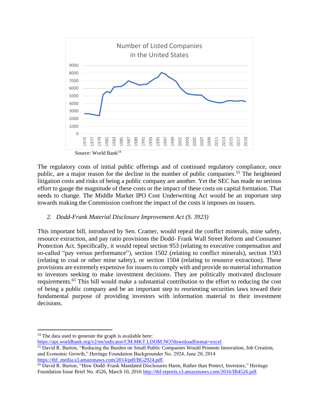

The regulatory costs of initial public offerings and of continued regulatory compliance, once public, are a major reason for the decline in the number of public companies.<sup>55</sup> The heightened litigation costs and risks of being a public company are another. Yet the SEC has made no serious effort to gauge the magnitude of these costs or the impact of these costs on capital formation. That needs to change. The Middle Market IPO Cost Underwriting Act would be an important step towards making the Commission confront the impact of the costs it imposes on issuers.

#### *2. Dodd-Frank Material Disclosure Improvement Act (S. 3923)*

This important bill, introduced by Sen. Cramer, would repeal the conflict minerals, mine safety, resource extraction, and pay ratio provisions the Dodd- Frank Wall Street Reform and Consumer Protection Act. Specifically, it would repeal section 953 (relating to executive compensation and so-called "pay versus performance"), section 1502 (relating to conflict minerals), section 1503 (relating to coal or other mine safety), or section 1504 (relating to resource extraction). These provisions are extremely expensive for issuers to comply with and provide no material information to investors seeking to make investment decisions. They are politically motivated disclosure requirements.<sup>65</sup> This bill would make a substantial contribution to the effort to reducing the cost of being a public company and be an important step to reorienting securities laws toward their fundamental purpose of providing investors with information material to their investment decisions.

<https://api.worldbank.org/v2/en/indicator/CM.MKT.LDOM.NO?downloadformat=excel>

<sup>&</sup>lt;sup>54</sup> The data used to generate the graph is available here:

<sup>55</sup> David R. Burton, "Reducing the Burden on Small Public Companies Would Promote Innovation, Job Creation, and Economic Growth," Heritage Foundation Backgrounder No. 2924, June 20, 2014 [https://thf\\_media.s3.amazonaws.com/2014/pdf/BG2924.pdf.](https://thf_media.s3.amazonaws.com/2014/pdf/BG2924.pdf)

<sup>65</sup> David R. Burton, "How Dodd–Frank Mandated Disclosures Harm, Rather than Protect, Investors," Heritage Foundation Issue Brief No. 4526, March 10, 201[6 http://thf-reports.s3.amazonaws.com/2016/IB4526.pdf.](http://thf-reports.s3.amazonaws.com/2016/IB4526.pdf)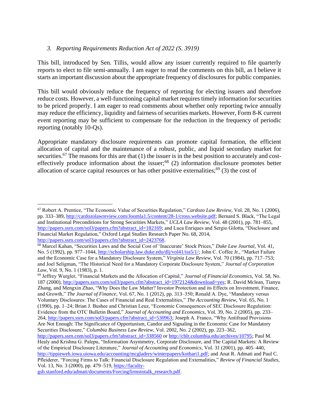#### *3. Reporting Requirements Reduction Act of 2022 (S. 3919)*

This bill, introduced by Sen. Tillis, would allow any issuer currently required to file quarterly reports to elect to file semi-annually. I am eager to read the comments on this bill, as I believe it starts an important discussion about the appropriate frequency of disclosures for public companies.

This bill would obviously reduce the frequency of reporting for electing issuers and therefore reduce costs. However, a well-functioning capital market requires timely information for securities to be priced properly. I am eager to read comments about whether only reporting twice annually may reduce the efficiency, liquidity and fairness of securities markets. However, Form 8-K current event reporting may be sufficient to compensate for the reduction in the frequency of periodic reporting (notably 10-Qs).

Appropriate mandatory disclosure requirements can promote capital formation, the efficient allocation of capital and the maintenance of a robust, public, and liquid secondary market for securities.<sup>67</sup> The reasons for this are that (1) the issuer is in the best position to accurately and costeffectively produce information about the issuer;<sup>68</sup> (2) information disclosure promotes better allocation of scarce capital resources or has other positive externalities;<sup>69</sup> (3) the cost of

<sup>69</sup> Jeffrey Wurgler, "Financial Markets and the Allocation of Capital," *Journal of Financial Economics*, Vol. 58, No. 187 (2000), [http://papers.ssrn.com/sol3/papers.cfm?abstract\\_id=1972124&download=yes;](http://papers.ssrn.com/sol3/papers.cfm?abstract_id=1972124&download=yes) R. David Mclean, Tianyu Zhang, and Mengxin Zhao, "Why Does the Law Matter? Investor Protection and its Effects on Investment, Finance, and Growth," *The Journal of Finance*, Vol. 67, No. 1 (2012), pp. 313–350; Ronald A. Dye, "Mandatory versus Voluntary Disclosures: The Cases of Financial and Real Externalities," *The Accounting Review*, Vol. 65, No. 1 (1990), pp. 1–24; Brian J. Bushee and Christian Leuz, "Economic Consequences of SEC Disclosure Regulation: Evidence from the OTC Bulletin Board," *Journal of Accounting and Economics*, Vol. 39, No. 2 (2005), pp. 233– 264, [http://papers.ssrn.com/sol3/papers.cfm?abstract\\_id=530963;](http://papers.ssrn.com/sol3/papers.cfm?abstract_id=530963) Joseph A. Franco, "Why Antifraud Provisions Are Not Enough: The Significance of Opportunism, Candor and Signaling in the Economic Case for Mandatory Securities Disclosure," *Columbia Business Law Review*, Vol. 2002, No. 2 (2002), pp. 223–362, [http://papers.ssrn.com/sol3/papers.cfm?abstract\\_id=338560](http://papers.ssrn.com/sol3/papers.cfm?abstract_id=338560) or [http://cblr.columbia.edu/archives/10795;](http://cblr.columbia.edu/archives/10795) Paul M.

[gsb.stanford.edu/admati/documents/Forcingfirmstotalk\\_research.pdf.](https://faculty-gsb.stanford.edu/admati/documents/Forcingfirmstotalk_research.pdf)

<sup>67</sup> Robert A. Prentice, "The Economic Value of Securities Regulation," *Cardozo Law Review*, Vol. 28, No. 1 (2006), pp. 333–389, [http://cardozolawreview.com/Joomla1.5/content/28-1/cross.website.pdf;](http://cardozolawreview.com/Joomla1.5/content/28-1/cross.website.pdf) Bernard S. Black, "The Legal and Institutional Preconditions for Strong Securities Markets," *UCLA Law Review*, Vol. 48 (2001), pp. 781–855, [http://papers.ssrn.com/sol3/papers.cfm?abstract\\_id=182169;](http://papers.ssrn.com/sol3/papers.cfm?abstract_id=182169) and Luca Enriques and Sergio Gilotta, "Disclosure and Financial Market Regulation," Oxford Legal Studies Research Paper No. 68, 2014, [http://papers.ssrn.com/sol3/papers.cfm?abstract\\_id=2423768.](http://papers.ssrn.com/sol3/papers.cfm?abstract_id=2423768)

<sup>68</sup> Marcel Kahan, "Securities Laws and the Social Cost of 'Inaccurate' Stock Prices," *Duke Law Journal*, Vol. 41, No. 5 (1992), pp. 977–1044, [http://scholarship.law.duke.edu/dlj/vol41/iss5/1/;](http://scholarship.law.duke.edu/dlj/vol41/iss5/1/) John C. Coffee Jr., "Market Failure and the Economic Case for a Mandatory Disclosure System," *Virginia Law Review*, Vol. 70 (1984), pp. 717–753; and Joel Seligman, "The Historical Need for a Mandatory Corporate Disclosure System," *Journal of Corporation Law*, Vol. 9, No. 1 (1983), p. 1.

Healy and Krishna G. Palepu, "Information Asymmetry, Corporate Disclosure, and The Capital Markets: A Review of the Empirical Disclosure Literature," *Journal of Accounting and Economics*, Vol. 31 (2001), pp. 405–440, [http://tippieweb.iowa.uiowa.edu/accounting/mcgladrey/winterpapers/kothari1.pdf;](http://tippieweb.iowa.uiowa.edu/accounting/mcgladrey/winterpapers/kothari1.pdf) and Anat R. Admati and Paul C. Pfleiderer, "Forcing Firms to Talk: Financial Disclosure Regulation and Externalities," *Review of Financial Studies*, Vol. 13, No. 3 (2000), pp. 479–519[, https://faculty-](https://faculty-gsb.stanford.edu/admati/documents/Forcingfirmstotalk_research.pdf)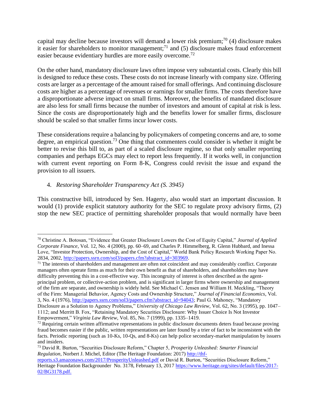capital may decline because investors will demand a lower risk premium;<sup>70</sup> (4) disclosure makes it easier for shareholders to monitor management;<sup>71</sup> and (5) disclosure makes fraud enforcement easier because evidentiary hurdles are more easily overcome.<sup>72</sup>

On the other hand, mandatory disclosure laws often impose very substantial costs. Clearly this bill is designed to reduce these costs. These costs do not increase linearly with company size. Offering costs are larger as a percentage of the amount raised for small offerings. And continuing disclosure costs are higher as a percentage of revenues or earnings for smaller firms. The costs therefore have a disproportionate adverse impact on small firms. Moreover, the benefits of mandated disclosure are also less for small firms because the number of investors and amount of capital at risk is less. Since the costs are disproportionately high and the benefits lower for smaller firms, disclosure should be scaled so that smaller firms incur lower costs.

These considerations require a balancing by policymakers of competing concerns and are, to some degree, an empirical question.<sup>73</sup> One thing that commenters could consider is whether it might be better to revise this bill to, as part of a scaled disclosure regime, so that only smaller reporting companies and perhaps EGCs may elect to report less frequently. If it works well, in conjunction with current event reporting on Form 8-K, Congress could revisit the issue and expand the provision to all issuers.

# 4. *Restoring Shareholder Transparency Act (S. 3945)*

This constructive bill, introduced by Sen. Hagerty, also would start an important discussion. It would (1) provide explicit statutory authority for the SEC to regulate proxy advisory firms, (2) stop the new SEC practice of permitting shareholder proposals that would normally have been

<sup>71</sup> The interests of shareholders and management are often not coincident and may considerably conflict. Corporate managers often operate firms as much for their own benefit as that of shareholders, and shareholders may have difficulty preventing this in a cost-effective way. This incongruity of interest is often described as the agentprincipal problem, or collective-action problem, and is significant in larger firms where ownership and management of the firm are separate, and ownership is widely held. See Michael C. Jensen and William H. Meckling, "Theory of the Firm: Managerial Behavior, Agency Costs and Ownership Structure," *Journal of Financial Economics*, Vol. 3, No. 4 (1976), [http://papers.ssrn.com/sol3/papers.cfm?abstract\\_id=94043;](http://papers.ssrn.com/sol3/papers.cfm?abstract_id=94043) Paul G. Mahoney, "Mandatory Disclosure as a Solution to Agency Problems," *University of Chicago Law Review*, Vol. 62, No. 3 (1995), pp. 1047– 1112; and Merritt B. Fox, "Retaining Mandatory Securities Disclosure: Why Issuer Choice Is Not Investor

Empowerment," *Virginia Law Review*, Vol. 85, No. 7 (1999), pp. 1335–1419.

<sup>70</sup> Christine A. Botosan, "Evidence that Greater Disclosure Lowers the Cost of Equity Capital," *Journal of Applied Corporate Finance*, Vol. 12, No. 4 (2000), pp. 60–69, and Charles P. Himmelberg, R. Glenn Hubbard, and Inessa Love, "Investor Protection, Ownership, and the Cost of Capital," World Bank Policy Research Working Paper No. 2834, 2002, [http://papers.ssrn.com/sol3/papers.cfm?abstract\\_id=303969.](http://papers.ssrn.com/sol3/papers.cfm?abstract_id=303969)

 $72$  Requiring certain written affirmative representations in public disclosure documents deters fraud because proving fraud becomes easier if the public, written representations are later found by a trier of fact to be inconsistent with the facts. Periodic reporting (such as 10-Ks, 10-Qs, and 8-Ks) can help police secondary-market manipulation by issuers and insiders.

<sup>73</sup> David R. Burton, "Securities Disclosure Reform," Chapter 5, *Prosperity Unleashed: Smarter Financial Regulation*, Norbert J. Michel, Editor (The Heritage Foundation: 2017) [http://thf-](http://thf-reports.s3.amazonaws.com/2017/ProsperityUnleashed.pdf)

[reports.s3.amazonaws.com/2017/ProsperityUnleashed.pdf](http://thf-reports.s3.amazonaws.com/2017/ProsperityUnleashed.pdf) or David R. Burton, "Securities Disclosure Reform," Heritage Foundation Backgrounder No. 3178, February 13, 2017 [https://www.heritage.org/sites/default/files/2017-](https://www.heritage.org/sites/default/files/2017-02/BG3178.pdf) [02/BG3178.pdf.](https://www.heritage.org/sites/default/files/2017-02/BG3178.pdf)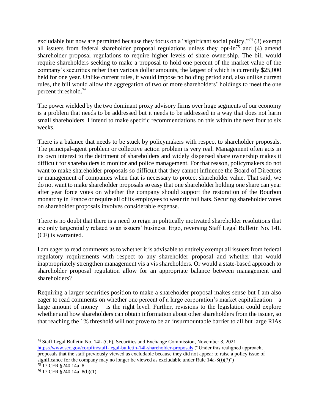excludable but now are permitted because they focus on a "significant social policy,"<sup>74</sup> (3) exempt all issuers from federal shareholder proposal regulations unless they opt-in<sup>75</sup> and (4) amend shareholder proposal regulations to require higher levels of share ownership. The bill would require shareholders seeking to make a proposal to hold one percent of the market value of the company's securities rather than various dollar amounts, the largest of which is currently \$25,000 held for one year. Unlike current rules, it would impose no holding period and, also unlike current rules, the bill would allow the aggregation of two or more shareholders' holdings to meet the one percent threshold. 76

The power wielded by the two dominant proxy advisory firms over huge segments of our economy is a problem that needs to be addressed but it needs to be addressed in a way that does not harm small shareholders. I intend to make specific recommendations on this within the next four to six weeks.

There is a balance that needs to be stuck by policymakers with respect to shareholder proposals. The principal-agent problem or collective action problem is very real. Management often acts in its own interest to the detriment of shareholders and widely dispersed share ownership makes it difficult for shareholders to monitor and police management. For that reason, policymakers do not want to make shareholder proposals so difficult that they cannot influence the Board of Directors or management of companies when that is necessary to protect shareholder value. That said, we do not want to make shareholder proposals so easy that one shareholder holding one share can year after year force votes on whether the company should support the restoration of the Bourbon monarchy in France or require all of its employees to wear tin foil hats. Securing shareholder votes on shareholder proposals involves considerable expense.

There is no doubt that there is a need to reign in politically motivated shareholder resolutions that are only tangentially related to an issuers' business. Ergo, reversing Staff Legal Bulletin No. 14L (CF) is warranted.

I am eager to read comments as to whether it is advisable to entirely exempt all issuers from federal regulatory requirements with respect to any shareholder proposal and whether that would inappropriately strengthen management vis a vis shareholders. Or would a state-based approach to shareholder proposal regulation allow for an appropriate balance between management and shareholders?

Requiring a larger securities position to make a shareholder proposal makes sense but I am also eager to read comments on whether one percent of a large corporation's market capitalization – a large amount of money – is the right level. Further, revisions to the legislation could explore whether and how shareholders can obtain information about other shareholders from the issuer, so that reaching the 1% threshold will not prove to be an insurmountable barrier to all but large RIAs

<sup>74</sup> Staff Legal Bulletin No. 14L (CF), Securities and Exchange Commission, November 3, 2021 <https://www.sec.gov/corpfin/staff-legal-bulletin-14l-shareholder-proposals> ("Under this realigned approach, proposals that the staff previously viewed as excludable because they did not appear to raise a policy issue of significance for the company may no longer be viewed as excludable under Rule  $14a-8(i)(7)$ ")

<sup>75</sup> 17 CFR §240.14a–8.

<sup>76</sup> 17 CFR §240.14a–8(b)(1).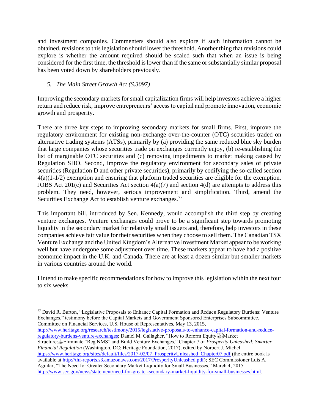and investment companies. Commenters should also explore if such information cannot be obtained, revisions to this legislation should lower the threshold. Another thing that revisions could explore is whether the amount required should be scaled such that when an issue is being considered for the first time, the threshold is lower than if the same or substantially similar proposal has been voted down by shareholders previously.

# *5. The Main Street Growth Act (S.3097)*

Improving the secondary markets for small capitalization firms will help investors achieve a higher return and reduce risk, improve entrepreneurs' access to capital and promote innovation, economic growth and prosperity.

There are three key steps to improving secondary markets for small firms. First, improve the regulatory environment for existing non-exchange over-the-counter (OTC) securities traded on alternative trading systems (ATSs), primarily by (a) providing the same reduced blue sky burden that large companies whose securities trade on exchanges currently enjoy, (b) re-establishing the list of marginable OTC securities and (c) removing impediments to market making caused by Regulation SHO. Second, improve the regulatory environment for secondary sales of private securities (Regulation D and other private securities), primarily by codifying the so-called section 4(a)(1-1/2) exemption and ensuring that platform traded securities are eligible for the exemption. JOBS Act  $201(c)$  and Securities Act section  $4(a)(7)$  and section  $4(d)$  are attempts to address this problem. They need, however, serious improvement and simplification. Third, amend the Securities Exchange Act to establish venture exchanges.<sup>77</sup>

This important bill, introduced by Sen. Kennedy, would accomplish the third step by creating venture exchanges. Venture exchanges could prove to be a significant step towards promoting liquidity in the secondary market for relatively small issuers and, therefore, help investors in these companies achieve fair value for their securities when they choose to sell them. The Canadian TSX Venture Exchange and the United Kingdom's Alternative Investment Market appear to be working well but have undergone some adjustment over time. These markets appear to have had a positive economic impact in the U.K. and Canada. There are at least a dozen similar but smaller markets in various countries around the world.

I intend to make specific recommendations for how to improve this legislation within the next four to six weeks.

[http://www.heritage.org/research/testimony/2015/legislative-proposals-to-enhance-capital-formation-and-reduce](http://www.heritage.org/research/testimony/2015/legislative-proposals-to-enhance-capital-formation-and-reduce-regulatory-burdens-venture-exchanges)[regulatory-burdens-venture-exchanges;](http://www.heritage.org/research/testimony/2015/legislative-proposals-to-enhance-capital-formation-and-reduce-regulatory-burdens-venture-exchanges) Daniel M. Gallagher, "How to Reform Equity stell Market Structure:
Eliminate "Reg NMS" and Build Venture Exchanges," Chapter 7 of *Prosperity Unleashed: Smarter Financial Regulation* (Washington, DC: Heritage Foundation, 2017), edited by Norbert J. Michel [https://www.heritage.org/sites/default/files/2017-02/07\\_ProsperityUnleashed\\_Chapter07.pdf](https://www.heritage.org/sites/default/files/2017-02/07_ProsperityUnleashed_Chapter07.pdf) (the entire book is available at [http://thf-reports.s3.amazonaws.com/2017/ProsperityUnleashed.pdf\)](http://thf-reports.s3.amazonaws.com/2017/ProsperityUnleashed.pdf); SEC Commissioner Luis A. Aguilar, "The Need for Greater Secondary Market Liquidity for Small Businesses," March 4, 2015 [http://www.sec.gov/news/statement/need-for-greater-secondary-market-liquidity-for-small-businesses.html.](http://www.sec.gov/news/statement/need-for-greater-secondary-market-liquidity-for-small-businesses.html)

<sup>&</sup>lt;sup>77</sup> David R. Burton, "Legislative Proposals to Enhance Capital Formation and Reduce Regulatory Burdens: Venture Exchanges," testimony before the Capital Markets and Government Sponsored Enterprises Subcommittee, Committee on Financial Services, U.S. House of Representatives, May 13, 2015,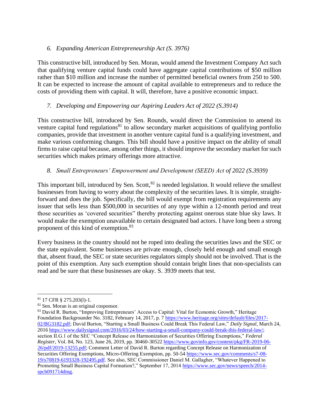# *6. Expanding American Entrepreneurship Act (S. 3976)*

This constructive bill, introduced by Sen. Moran, would amend the Investment Company Act such that qualifying venture capital funds could have aggregate capital contributions of \$50 million rather than \$10 million and increase the number of permitted beneficial owners from 250 to 500. It can be expected to increase the amount of capital available to entrepreneurs and to reduce the costs of providing them with capital. It will, therefore, have a positive economic impact.

# *7. Developing and Empowering our Aspiring Leaders Act of 2022 (S.3914)*

This constructive bill, introduced by Sen. Rounds, would direct the Commission to amend its venture capital fund regulations<sup>81</sup> to allow secondary market acquisitions of qualifying portfolio companies, provide that investment in another venture capital fund is a qualifying investment, and make various conforming changes. This bill should have a positive impact on the ability of small firms to raise capital because, among other things, it should improve the secondary market for such securities which makes primary offerings more attractive.

# *8. Small Entrepreneurs' Empowerment and Development (SEED) Act of 2022 (S.3939)*

This important bill, introduced by Sen. Scott,  ${}^{82}$  is needed legislation. It would relieve the smallest businesses from having to worry about the complexity of the securities laws. It is simple, straightforward and does the job. Specifically, the bill would exempt from registration requirements any issuer that sells less than \$500,000 in securities of any type within a 12-month period and treat those securities as 'covered securities" thereby protecting against onerous state blue sky laws. It would make the exemption unavailable to certain designated bad actors. I have long been a strong proponent of this kind of exemption.<sup>83</sup>

Every business in the country should not be roped into dealing the securities laws and the SEC or the state equivalent. Some businesses are private enough, closely held enough and small enough that, absent fraud, the SEC or state securities regulators simply should not be involved. That is the point of this exemption. Any such exemption should contain bright lines that non-specialists can read and be sure that these businesses are okay. S. 3939 meets that test.

<sup>81</sup> 17 CFR § 275.203(l)-1.

<sup>82</sup> Sen. Moran is an original cosponsor.

<sup>83</sup> David R. Burton, "Improving Entrepreneurs' Access to Capital: Vital for Economic Growth," Heritage Foundation Backgrounder No. 3182, February 14, 2017, p. 7 [https://www.heritage.org/sites/default/files/2017-](https://www.heritage.org/sites/default/files/2017-02/BG3182.pdf) [02/BG3182.pdf;](https://www.heritage.org/sites/default/files/2017-02/BG3182.pdf) David Burton, "Starting a Small Business Could Break This Federal Law," *Daily Signal*, March 24, 201[6 https://www.dailysignal.com/2016/03/24/how-starting-a-small-company-could-break-this-federal-law/;](https://www.dailysignal.com/2016/03/24/how-starting-a-small-company-could-break-this-federal-law/) section II.G.1 of the SEC "Concept Release on Harmonization of Securities Offering Exemptions," *Federal Register*, Vol. 84, No. 123, June 26, 2019, pp. 30460-30522 [https://www.govinfo.gov/content/pkg/FR-2019-06-](https://www.govinfo.gov/content/pkg/FR-2019-06-26/pdf/2019-13255.pdf) [26/pdf/2019-13255.pdf;](https://www.govinfo.gov/content/pkg/FR-2019-06-26/pdf/2019-13255.pdf) Comment Letter of David R. Burton regarding Concept Release on Harmonization of Securities Offering Exemptions, Micro-Offering Exemption, pp. 50-54 [https://www.sec.gov/comments/s7-08-](https://www.sec.gov/comments/s7-08-19/s70819-6193328-192495.pdf) [19/s70819-6193328-192495.pdf.](https://www.sec.gov/comments/s7-08-19/s70819-6193328-192495.pdf) See also, SEC Commissioner Daniel M. Gallagher, "Whatever Happened to Promoting Small Business Capital Formation?," September 17, 2014 [https://www.sec.gov/news/speech/2014](https://www.sec.gov/news/speech/2014-spch091714dmg) [spch091714dmg.](https://www.sec.gov/news/speech/2014-spch091714dmg)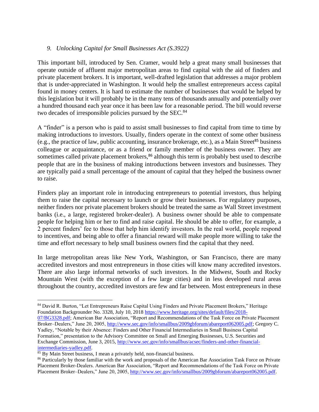## *9. Unlocking Capital for Small Businesses Act (S.3922)*

This important bill, introduced by Sen. Cramer, would help a great many small businesses that operate outside of affluent major metropolitan areas to find capital with the aid of finders and private placement brokers. It is important, well-drafted legislation that addresses a major problem that is under-appreciated in Washington. It would help the smallest entrepreneurs access capital found in money centers. It is hard to estimate the number of businesses that would be helped by this legislation but it will probably be in the many tens of thousands annually and potentially over a hundred thousand each year once it has been law for a reasonable period. The bill would reverse two decades of irresponsible policies pursued by the SEC.<sup>84</sup>

A "finder" is a person who is paid to assist small businesses to find capital from time to time by making introductions to investors. Usually, finders operate in the context of some other business (e.g., the practice of law, public accounting, insurance brokerage, etc.), as a Main Street<sup>85</sup> business colleague or acquaintance, or as a friend or family member of the business owner. They are sometimes called private placement brokers,<sup>86</sup> although this term is probably best used to describe people that are in the business of making introductions between investors and businesses. They are typically paid a small percentage of the amount of capital that they helped the business owner to raise.

Finders play an important role in introducing entrepreneurs to potential investors, thus helping them to raise the capital necessary to launch or grow their businesses. For regulatory purposes, neither finders nor private placement brokers should be treated the same as Wall Street investment banks (i.e., a large, registered broker-dealer). A business owner should be able to compensate people for helping him or her to find and raise capital. He should be able to offer, for example, a 2 percent finders' fee to those that help him identify investors. In the real world, people respond to incentives, and being able to offer a financial reward will make people more willing to take the time and effort necessary to help small business owners find the capital that they need.

In large metropolitan areas like New York, Washington, or San Francisco, there are many accredited investors and most entrepreneurs in those cities will know many accredited investors. There are also large informal networks of such investors. In the Midwest, South and Rocky Mountain West (with the exception of a few large cities) and in less developed rural areas throughout the country, accredited investors are few and far between. Most entrepreneurs in these

<sup>84</sup> David R. Burton, "Let Entrepreneurs Raise Capital Using Finders and Private Placement Brokers," Heritage Foundation Backgrounder No. 3328, July 10, 2018 [https://www.heritage.org/sites/default/files/2018-](https://www.heritage.org/sites/default/files/2018-07/BG3328.pdf)

[<sup>07/</sup>BG3328.pdf;](https://www.heritage.org/sites/default/files/2018-07/BG3328.pdf) American Bar Association, "Report and Recommendations of the Task Force on Private Placement Broker–Dealers," June 20, 2005[, http://www.sec.gov/info/smallbus/2009gbforum/abareport062005.pdf;](http://www.sec.gov/info/smallbus/2009gbforum/abareport062005.pdf) Gregory C. Yadley, "Notable by their Absence: Finders and Other Financial Intermediaries in Small Business Capital Formation," presentation to the Advisory Committee on Small and Emerging Businesses, U.S. Securities and Exchange Commission, June 3, 2015, [http://www.sec.gov/info/smallbus/acsec/finders-and-other-financial](http://www.sec.gov/info/smallbus/acsec/finders-and-other-financial-intermediaries-yadley.pdf)[intermediaries-yadley.pdf.](http://www.sec.gov/info/smallbus/acsec/finders-and-other-financial-intermediaries-yadley.pdf)

<sup>85</sup> By Main Street business, I mean a privately held, non-financial business.

<sup>&</sup>lt;sup>86</sup> Particularly by those familiar with the work and proposals of the American Bar Association Task Force on Private Placement Broker-Dealers. American Bar Association, "Report and Recommendations of the Task Force on Private Placement Broker–Dealers," June 20, 2005[, http://www.sec.gov/info/smallbus/2009gbforum/abareport062005.pdf.](http://www.sec.gov/info/smallbus/2009gbforum/abareport062005.pdf)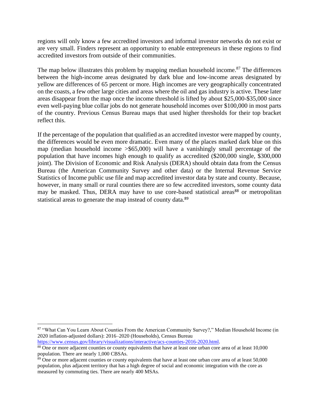regions will only know a few accredited investors and informal investor networks do not exist or are very small. Finders represent an opportunity to enable entrepreneurs in these regions to find accredited investors from outside of their communities.

The map below illustrates this problem by mapping median household income.<sup>87</sup> The differences between the high-income areas designated by dark blue and low-income areas designated by yellow are differences of 65 percent or more. High incomes are very geographically concentrated on the coasts, a few other large cities and areas where the oil and gas industry is active. These later areas disappear from the map once the income threshold is lifted by about \$25,000-\$35,000 since even well-paying blue collar jobs do not generate household incomes over \$100,000 in most parts of the country. Previous Census Bureau maps that used higher thresholds for their top bracket reflect this.

If the percentage of the population that qualified as an accredited investor were mapped by county, the differences would be even more dramatic. Even many of the places marked dark blue on this map (median household income >\$65,000) will have a vanishingly small percentage of the population that have incomes high enough to qualify as accredited (\$200,000 single, \$300,000 joint). The Division of Economic and Risk Analysis (DERA) should obtain data from the Census Bureau (the American Community Survey and other data) or the Internal Revenue Service Statistics of Income public use file and map accredited investor data by state and county. Because, however, in many small or rural counties there are so few accredited investors, some county data may be masked. Thus, DERA may have to use core-based statistical areas<sup>88</sup> or metropolitan statistical areas to generate the map instead of county data.<sup>89</sup>

<sup>87 &</sup>quot;What Can You Learn About Counties From the American Community Survey?," Median Household Income (in 2020 inflation-adjusted dollars): 2016–2020 (Households), Census Bureau

[https://www.census.gov/library/visualizations/interactive/acs-counties-2016-2020.html.](https://www.census.gov/library/visualizations/interactive/acs-counties-2016-2020.html)

<sup>&</sup>lt;sup>88</sup> One or more adjacent counties or county equivalents that have at least one urban core area of at least 10,000 population. There are nearly 1,000 CBSAs.

 $\frac{89}{2}$  One or more adjacent counties or county equivalents that have at least one urban core area of at least 50,000 population, plus adjacent territory that has a high degree of social and economic integration with the core as measured by commuting ties. There are nearly 400 MSAs.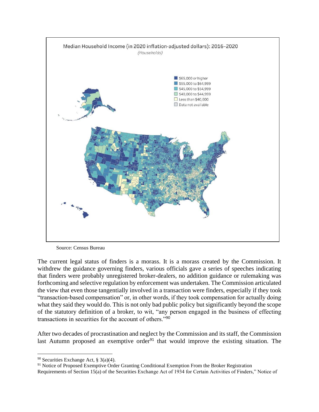

Source: Census Bureau

The current legal status of finders is a morass. It is a morass created by the Commission. It withdrew the guidance governing finders, various officials gave a series of speeches indicating that finders were probably unregistered broker-dealers, no addition guidance or rulemaking was forthcoming and selective regulation by enforcement was undertaken. The Commission articulated the view that even those tangentially involved in a transaction were finders, especially if they took "transaction-based compensation" or, in other words, if they took compensation for actually doing what they said they would do. This is not only bad public policy but significantly beyond the scope of the statutory definition of a broker, to wit, "any person engaged in the business of effecting transactions in securities for the account of others."<sup>90</sup>

After two decades of procrastination and neglect by the Commission and its staff, the Commission last Autumn proposed an exemptive order<sup>91</sup> that would improve the existing situation. The

<sup>90</sup> Securities Exchange Act, § 3(a)(4).

<sup>&</sup>lt;sup>91</sup> Notice of Proposed Exemptive Order Granting Conditional Exemption From the Broker Registration Requirements of Section 15(a) of the Securities Exchange Act of 1934 for Certain Activities of Finders," Notice of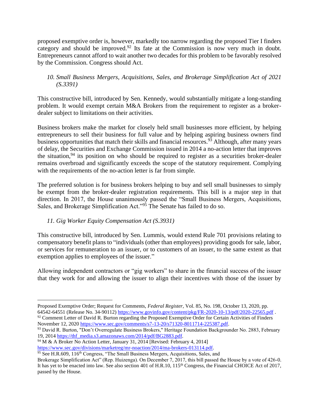proposed exemptive order is, however, markedly too narrow regarding the proposed Tier I finders category and should be improved. $92$  Its fate at the Commission is now very much in doubt. Entrepreneurs cannot afford to wait another two decades for this problem to be favorably resolved by the Commission. Congress should Act.

## *10. Small Business Mergers, Acquisitions, Sales, and Brokerage Simplification Act of 2021 (S.3391)*

This constructive bill, introduced by Sen. Kennedy, would substantially mitigate a long-standing problem. It would exempt certain M&A Brokers from the requirement to register as a brokerdealer subject to limitations on their activities.

Business brokers make the market for closely held small businesses more efficient, by helping entrepreneurs to sell their business for full value and by helping aspiring business owners find business opportunities that match their skills and financial resources.<sup>93</sup> Although, after many years of delay, the Securities and Exchange Commission issued in 2014 a no-action letter that improves the situation,  $94$  its position on who should be required to register as a securities broker-dealer remains overbroad and significantly exceeds the scope of the statutory requirement. Complying with the requirements of the no-action letter is far from simple.

The preferred solution is for business brokers helping to buy and sell small businesses to simply be exempt from the broker-dealer registration requirements. This bill is a major step in that direction. In 2017, the House unanimously passed the "Small Business Mergers, Acquisitions, Sales, and Brokerage Simplification Act."<sup>95</sup> The Senate has failed to do so.

# *11. Gig Worker Equity Compensation Act (S.3931)*

This constructive bill, introduced by Sen. Lummis, would extend Rule 701 provisions relating to compensatory benefit plans to "individuals (other than employees) providing goods for sale, labor, or services for remuneration to an issuer, or to customers of an issuer, to the same extent as that exemption applies to employees of the issuer."

Allowing independent contractors or "gig workers" to share in the financial success of the issuer that they work for and allowing the issuer to align their incentives with those of the issuer by

Proposed Exemptive Order; Request for Comments, *Federal Register*, Vol. 85, No. 198, October 13, 2020, pp. 64542-64551 (Release No. 34-90112)<https://www.govinfo.gov/content/pkg/FR-2020-10-13/pdf/2020-22565.pdf> . <sup>92</sup> Comment Letter of David R. Burton regarding the Proposed Exemptive Order for Certain Activities of Finders November 12, 2020 [https://www.sec.gov/comments/s7-13-20/s71320-8011714-225387.pdf.](https://www.sec.gov/comments/s7-13-20/s71320-8011714-225387.pdf)

<sup>93</sup> David R. Burton, "Don't Overregulate Business Brokers," Heritage Foundation Backgrounder No. 2883, February 19, 201[4 https://thf\\_media.s3.amazonaws.com/2014/pdf/BG2883.pdf.](https://thf_media.s3.amazonaws.com/2014/pdf/BG2883.pdf)

<sup>&</sup>lt;sup>94</sup> M & A Broker No Action Letter, January 31, 2014 [Revised: February 4, 2014]

[https://www.sec.gov/divisions/marketreg/mr-noaction/2014/ma-brokers-013114.pdf.](https://www.sec.gov/divisions/marketreg/mr-noaction/2014/ma-brokers-013114.pdf) 

 $\frac{95}{95}$  See H.R.609, 116<sup>th</sup> Congress, "The Small Business Mergers, Acquisitions, Sales, and

Brokerage Simplification Act" (Rep. Huizenga). On December 7, 2017, this bill passed the House by a vote of 426-0. It has yet to be enacted into law. See also section 401 of H.R.10, 115<sup>th</sup> Congress, the Financial CHOICE Act of 2017, passed by the House.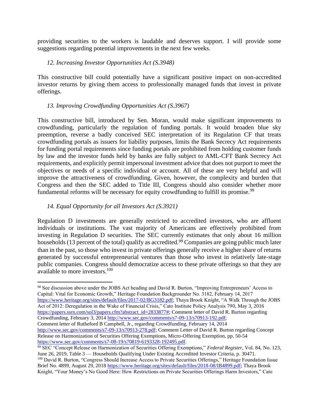providing securities to the workers is laudable and deserves support. I will provide some suggestions regarding potential improvements in the next few weeks.

## *12. Increasing Investor Opportunities Act (S.3948)*

This constructive bill could potentially have a significant positive impact on non-accredited investor returns by giving them access to professionally managed funds that invest in private offerings.

## *13. Improving Crowdfunding Opportunities Act (S.3967)*

This constructive bill, introduced by Sen. Moran, would make significant improvements to crowdfunding, particularly the regulation of funding portals. It would broaden blue sky preemption, reverse a badly conceived SEC interpretation of its Regulation CF that treats crowdfunding portals as issuers for liability purposes, limits the Bank Secrecy Act requirements for funding portal requirements since funding portals are prohibited from holding customer funds by law and the investor funds held by banks are fully subject to AML-CFT Bank Secrecy Act requirements, and explicitly permit impersonal investment advice that does not purport to meet the objectives or needs of a specific individual or account. All of these are very helpful and will improve the attractiveness of crowdfunding. Given, however, the complexity and burden that Congress and then the SEC added to Title III, Congress should also consider whether more fundamental reforms will be necessary for equity crowdfunding to fulfill its promise.<sup>98</sup>

## *14. Equal Opportunity for all Investors Act (S.3921)*

Regulation D investments are generally restricted to accredited investors, who are affluent individuals or institutions. The vast majority of Americans are effectively prohibited from investing in Regulation D securities. The SEC currently estimates that only about 16 million households (13 percent of the total) qualify as accredited.<sup>99</sup> Companies are going public much later than in the past, so those who invest in private offerings generally receive a higher share of returns generated by successful entrepreneurial ventures than those who invest in relatively late-stage public companies. Congress should democratize access to these private offerings so that they are available to more investors.<sup>100</sup>

98 See discussion above under the JOBS Act heading and David R. Burton, "Improving Entrepreneurs' Access to Capital: Vital for Economic Growth," Heritage Foundation Backgrounder No. 3182, February 14, 2017 [https://www.heritage.org/sites/default/files/2017-02/BG3182.pdf;](https://www.heritage.org/sites/default/files/2017-02/BG3182.pdf) Thaya Brook Knight, "A Walk Through the JOBS Act of 2012: Deregulation in the Wake of Financial Crisis," Cato Institute Policy Analysis 790, May 3, 2016 [https://papers.ssrn.com/sol3/papers.cfm?abstract\\_id=2833877#;](https://papers.ssrn.com/sol3/papers.cfm?abstract_id=2833877) Comment letter of David R. Burton regarding Crowdfunding, February 3, 2014 [http://www.sec.gov/comments/s7-09-13/s70913-192.pdf;](http://www.sec.gov/comments/s7-09-13/s70913-192.pdf) Comment letter of Rutheford B Campbell, Jr., regarding Crowdfunding, February 14, 2014 [http://www.sec.gov/comments/s7-09-13/s70913-278.pdf;](http://www.sec.gov/comments/s7-09-13/s70913-278.pdf) Comment Letter of David R. Burton regarding Concept Release on Harmonization of Securities Offering Exemptions, Micro-Offering Exemption, pp. 50-54

[https://www.sec.gov/comments/s7-08-19/s70819-6193328-192495.pdf.](https://www.sec.gov/comments/s7-08-19/s70819-6193328-192495.pdf)

<sup>99</sup> SEC "Concept Release on Harmonization of Securities Offering Exemptions," *Federal Register*, Vol. 84, No. 123, June 26, 2019, Table 3 — Households Qualifying Under Existing Accredited Investor Criteria, p. 30471. <sup>100</sup> David R. Burton, "Congress Should Increase Access to Private Securities Offerings," Heritage Foundation Issue Brief No. 4899, August 29, 2018 [https://www.heritage.org/sites/default/files/2018-08/IB4899.pdf;](https://www.heritage.org/sites/default/files/2018-08/IB4899.pdf) Thaya Brook Knight, "Your Money's No Good Here: How Restrictions on Private Securities Offerings Harm Investors," Cato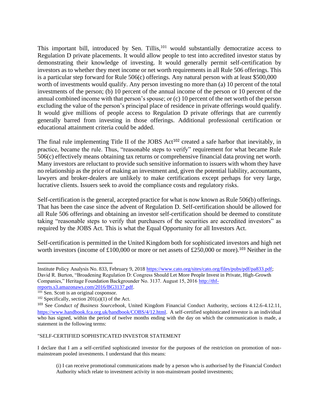This important bill, introduced by Sen. Tillis, $101$  would substantially democratize access to Regulation D private placements. It would allow people to test into accredited investor status by demonstrating their knowledge of investing. It would generally permit self-certification by investors as to whether they meet income or net worth requirements in all Rule 506 offerings. This is a particular step forward for Rule 506(c) offerings. Any natural person with at least \$500,000 worth of investments would qualify. Any person investing no more than (a) 10 percent of the total investments of the person; (b) 10 percent of the annual income of the person or 10 percent of the annual combined income with that person's spouse; or (c) 10 percent of the net worth of the person excluding the value of the person's principal place of residence in private offerings would qualify. It would give millions of people access to Regulation D private offerings that are currently generally barred from investing in those offerings. Additional professional certification or educational attainment criteria could be added.

The final rule implementing Title II of the JOBS Act<sup>102</sup> created a safe harbor that inevitably, in practice, became the rule. Thus, "reasonable steps to verify" requirement for what became Rule 506(c) effectively means obtaining tax returns or comprehensive financial data proving net worth. Many investors are reluctant to provide such sensitive information to issuers with whom they have no relationship as the price of making an investment and, given the potential liability, accountants, lawyers and broker-dealers are unlikely to make certifications except perhaps for very large, lucrative clients. Issuers seek to avoid the compliance costs and regulatory risks.

Self-certification is the general, accepted practice for what is now known as Rule 506(b) offerings. That has been the case since the advent of Regulation D. Self-certification should be allowed for all Rule 506 offerings and obtaining an investor self-certification should be deemed to constitute taking "reasonable steps to verify that purchasers of the securities are accredited investors" as required by the JOBS Act. This is what the Equal Opportunity for all Investors Act.

Self-certification is permitted in the United Kingdom both for sophisticated investors and high net worth investors (income of £100,000 or more or net assets of £250,000 or more).<sup>103</sup> Neither in the

"SELF-CERTIFIED SOPHISTICATED INVESTOR STATEMENT

I declare that I am a self-certified sophisticated investor for the purposes of the restriction on promotion of nonmainstream pooled investments. I understand that this means:

Institute Policy Analysis No. 833, February 9, 2018 [https://www.cato.org/sites/cato.org/files/pubs/pdf/pa833.pdf;](https://www.cato.org/sites/cato.org/files/pubs/pdf/pa833.pdf) David R. Burton, "Broadening Regulation D: Congress Should Let More People Invest in Private, High-Growth Companies," Heritage Foundation Backgrounder No. 3137. August 15, 2016 [http://thf](http://thf-reports.s3.amazonaws.com/2016/BG3137.pdf)[reports.s3.amazonaws.com/2016/BG3137.pdf.](http://thf-reports.s3.amazonaws.com/2016/BG3137.pdf)

 $10\overline{1}$  Sen. Scott is an original cosponsor.

 $102$  Specifically, section  $201(a)(1)$  of the Act.

<sup>103</sup> See *Conduct of Business Sourcebook*, United Kingdom Financial Conduct Authority, sections 4.12.6-4.12.11, [https://www.handbook.fca.org.uk/handbook/COBS/4/12.html.](https://www.handbook.fca.org.uk/handbook/COBS/4/12.html) A self-certified sophisticated investor is an individual who has signed, within the period of twelve months ending with the day on which the communication is made, a statement in the following terms:

<sup>(</sup>i) I can receive promotional communications made by a person who is authorised by the Financial Conduct Authority which relate to investment activity in non-mainstream pooled investments;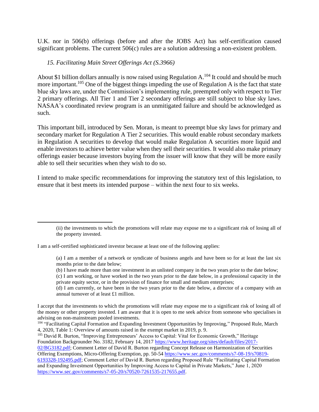U.K. nor in 506(b) offerings (before and after the JOBS Act) has self-certification caused significant problems. The current 506(c) rules are a solution addressing a non-existent problem.

#### *15. Facilitating Main Street Offerings Act (S.3966)*

About \$1 billion dollars annually is now raised using Regulation  $A<sup>104</sup>$  It could and should be much more important.<sup>105</sup> One of the biggest things impeding the use of Regulation A is the fact that state blue sky laws are, under the Commission's implementing rule, preempted only with respect to Tier 2 primary offerings. All Tier 1 and Tier 2 secondary offerings are still subject to blue sky laws. NASAA's coordinated review program is an unmitigated failure and should be acknowledged as such.

This important bill, introduced by Sen. Moran, is meant to preempt blue sky laws for primary and secondary market for Regulation A Tier 2 securities. This would enable robust secondary markets in Regulation A securities to develop that would make Regulation A securities more liquid and enable investors to achieve better value when they sell their securities. It would also make primary offerings easier because investors buying from the issuer will know that they will be more easily able to sell their securities when they wish to do so.

I intend to make specific recommendations for improving the statutory text of this legislation, to ensure that it best meets its intended purpose – within the next four to six weeks.

(d) I am currently, or have been in the two years prior to the date below, a director of a company with an annual turnover of at least £1 million.

<sup>(</sup>ii) the investments to which the promotions will relate may expose me to a significant risk of losing all of the property invested.

I am a self-certified sophisticated investor because at least one of the following applies:

<sup>(</sup>a) I am a member of a network or syndicate of business angels and have been so for at least the last six months prior to the date below;

<sup>(</sup>b) I have made more than one investment in an unlisted company in the two years prior to the date below;

<sup>(</sup>c) I am working, or have worked in the two years prior to the date below, in a professional capacity in the private equity sector, or in the provision of finance for small and medium enterprises;

I accept that the investments to which the promotions will relate may expose me to a significant risk of losing all of the money or other property invested. I am aware that it is open to me seek advice from someone who specialises in advising on non-mainstream pooled investments.

<sup>&</sup>lt;sup>104</sup> "Facilitating Capital Formation and Expanding Investment Opportunities by Improving," Proposed Rule, March 4, 2020, Table 1: Overview of amounts raised in the exempt market in 2019, p. 9.

<sup>105</sup> David R. Burton, "Improving Entrepreneurs' Access to Capital: Vital for Economic Growth," Heritage Foundation Backgrounder No. 3182, February 14, 2017 [https://www.heritage.org/sites/default/files/2017-](https://www.heritage.org/sites/default/files/2017-02/BG3182.pdf)

[<sup>02/</sup>BG3182.pdf;](https://www.heritage.org/sites/default/files/2017-02/BG3182.pdf) Comment Letter of David R. Burton regarding Concept Release on Harmonization of Securities Offering Exemptions, Micro-Offering Exemption, pp. 50-54 [https://www.sec.gov/comments/s7-08-19/s70819-](https://www.sec.gov/comments/s7-08-19/s70819-6193328-192495.pdf)

[<sup>6193328-192495.</sup>pdf;](https://www.sec.gov/comments/s7-08-19/s70819-6193328-192495.pdf) Comment Letter of David R. Burton regarding Proposed Rule "Facilitating Capital Formation and Expanding Investment Opportunities by Improving Access to Capital in Private Markets," June 1, 2020 [https://www.sec.gov/comments/s7-05-20/s70520-7261535-217655.pdf.](https://www.sec.gov/comments/s7-05-20/s70520-7261535-217655.pdf)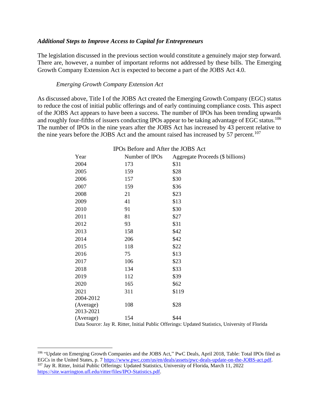#### *Additional Steps to Improve Access to Capital for Entrepreneurs*

The legislation discussed in the previous section would constitute a genuinely major step forward. There are, however, a number of important reforms not addressed by these bills. The Emerging Growth Company Extension Act is expected to become a part of the JOBS Act 4.0.

#### *Emerging Growth Company Extension Act*

As discussed above, Title I of the JOBS Act created the Emerging Growth Company (EGC) status to reduce the cost of initial public offerings and of early continuing compliance costs. This aspect of the JOBS Act appears to have been a success. The number of IPOs has been trending upwards and roughly four-fifths of issuers conducting IPOs appear to be taking advantage of EGC status.<sup>106</sup> The number of IPOs in the nine years after the JOBS Act has increased by 43 percent relative to the nine years before the JOBS Act and the amount raised has increased by 57 percent.<sup>107</sup>

| Year                   | If you belong and trittle the supply treet<br>Number of IPOs | Aggregate Proceeds (\$ billions) |
|------------------------|--------------------------------------------------------------|----------------------------------|
| 2004                   | 173                                                          | \$31                             |
| 2005                   | 159                                                          | \$28                             |
| 2006                   | 157                                                          | \$30                             |
| 2007                   | 159                                                          | \$36                             |
| 2008                   | 21                                                           | \$23                             |
| 2009                   | 41                                                           | \$13                             |
| 2010                   | 91                                                           | \$30                             |
| 2011                   | 81                                                           | \$27                             |
| 2012                   | 93                                                           | \$31                             |
| 2013                   | 158                                                          | \$42                             |
| 2014                   | 206                                                          | \$42                             |
| 2015                   | 118                                                          | \$22                             |
| 2016                   | 75                                                           | \$13                             |
| 2017                   | 106                                                          | \$23                             |
| 2018                   | 134                                                          | \$33                             |
| 2019                   | 112                                                          | \$39                             |
| 2020                   | 165                                                          | \$62                             |
| 2021                   | 311                                                          | \$119                            |
| 2004-2012              |                                                              |                                  |
| (Average)<br>2013-2021 | 108                                                          | \$28                             |
| (Average)              | 154                                                          | \$44                             |
| D                      | $\mathbf{D}$ $\mathbf{D}$<br>T * . * 1 T 1 1 1 *<br>∩ cc     | TT 1, 10, 2, 2<br><b>TT .</b>    |

#### IPOs Before and After the JOBS Act

Data Source: Jay R. Ritter, Initial Public Offerings: Updated Statistics, University of Florida

<sup>&</sup>lt;sup>106</sup> "Update on Emerging Growth Companies and the JOBS Act," PwC Deals, April 2018, Table: Total IPOs filed as EGCs in the United States, p. 7 [https://www.pwc.com/us/en/deals/assets/pwc-deals-update-on-the-JOBS-act.pdf.](https://www.pwc.com/us/en/deals/assets/pwc-deals-update-on-the-JOBS-act.pdf) <sup>107</sup> Jay R. Ritter, Initial Public Offerings: Updated Statistics, University of Florida, March 11, 2022 [https://site.warrington.ufl.edu/ritter/files/IPO-Statistics.pdf.](https://site.warrington.ufl.edu/ritter/files/IPO-Statistics.pdf)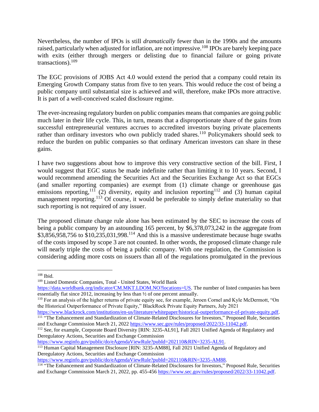Nevertheless, the number of IPOs is still *dramatically* fewer than in the 1990s and the amounts raised, particularly when adjusted for inflation, are not impressive.<sup>108</sup> IPOs are barely keeping pace with exits (either through mergers or delisting due to financial failure or going private transactions).<sup>109</sup>

The EGC provisions of JOBS Act 4.0 would extend the period that a company could retain its Emerging Growth Company status from five to ten years. This would reduce the cost of being a public company until substantial size is achieved and will, therefore, make IPOs more attractive. It is part of a well-conceived scaled disclosure regime.

The ever-increasing regulatory burden on public companies means that companies are going public much later in their life cycle. This, in turn, means that a disproportionate share of the gains from successful entrepreneurial ventures accrues to accredited investors buying private placements rather than ordinary investors who own publicly traded shares.<sup>110</sup> Policymakers should seek to reduce the burden on public companies so that ordinary American investors can share in these gains.

I have two suggestions about how to improve this very constructive section of the bill. First, I would suggest that EGC status be made indefinite rather than limiting it to 10 years. Second, I would recommend amending the Securities Act and the Securities Exchange Act so that EGCs (and smaller reporting companies) are exempt from (1) climate change or greenhouse gas emissions reporting,<sup>111</sup> (2) diversity, equity and inclusion reporting<sup>112</sup> and (3) human capital management reporting.<sup>113</sup> Of course, it would be preferable to simply define materiality so that such reporting is not required of any issuer.

The proposed climate change rule alone has been estimated by the SEC to increase the costs of being a public company by an astounding 165 percent, by \$6,378,073,242 in the aggregate from  $$3,856,958,756$  to  $$10,235,031,998$ .<sup>114</sup> And this is a massive underestimate because huge swaths of the costs imposed by scope 3 are not counted. In other words, the proposed climate change rule will nearly triple the costs of being a public company. With one regulation, the Commission is considering adding more costs on issuers than all of the regulations promulgated in the previous

[https://www.reginfo.gov/public/do/eAgendaViewRule?pubId=202110&RIN=3235-AL91.](https://www.reginfo.gov/public/do/eAgendaViewRule?pubId=202110&RIN=3235-AL91)

<sup>108</sup> Ibid.

<sup>109</sup> Listed Domestic Companies, Total - United States, World Bank

[https://data.worldbank.org/indicator/CM.MKT.LDOM.NO?locations=US.](https://data.worldbank.org/indicator/CM.MKT.LDOM.NO?locations=US) The number of listed companies has been essentially flat since 2012, increasing by less than ½ of one percent annually.

<sup>110</sup> For an analysis of the higher returns of private equity see, for example, Jeroen Cornel and Kyle McDermott, "On the Historical Outperformance of Private Equity," BlackRock Private Equity Partners, July 2021

[https://www.blackrock.com/institutions/en-us/literature/whitepaper/historical-outperformance-of-private-equity.pdf.](https://www.blackrock.com/institutions/en-us/literature/whitepaper/historical-outperformance-of-private-equity.pdf) <sup>111</sup> "The Enhancement and Standardization of Climate-Related Disclosures for Investors," Proposed Rule, Securities and Exchange Commission March 21, 2022 [https://www.sec.gov/rules/proposed/2022/33-11042.pdf.](https://www.sec.gov/rules/proposed/2022/33-11042.pdf)

<sup>112</sup> See, for example, Corporate Board Diversity [RIN: 3235-AL91], Fall 2021 Unified Agenda of Regulatory and Deregulatory Actions, Securities and Exchange Commission

<sup>&</sup>lt;sup>113</sup> Human Capital Management Disclosure [RIN: 3235-AM88], Fall 2021 Unified Agenda of Regulatory and Deregulatory Actions, Securities and Exchange Commission

[https://www.reginfo.gov/public/do/eAgendaViewRule?pubId=202110&RIN=3235-AM88.](https://www.reginfo.gov/public/do/eAgendaViewRule?pubId=202110&RIN=3235-AM88)

<sup>&</sup>lt;sup>114</sup> "The Enhancement and Standardization of Climate-Related Disclosures for Investors," Proposed Rule, Securities and Exchange Commission March 21, 2022, pp. 455-456 [https://www.sec.gov/rules/proposed/2022/33-11042.pdf.](https://www.sec.gov/rules/proposed/2022/33-11042.pdf)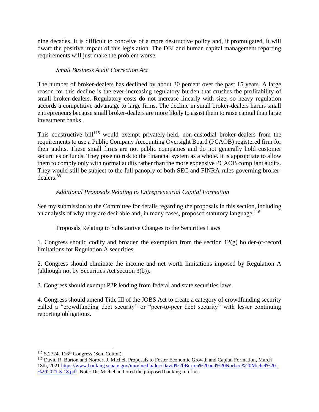nine decades. It is difficult to conceive of a more destructive policy and, if promulgated, it will dwarf the positive impact of this legislation. The DEI and human capital management reporting requirements will just make the problem worse.

# *Small Business Audit Correction Act*

The number of broker-dealers has declined by about 30 percent over the past 15 years. A large reason for this decline is the ever-increasing regulatory burden that crushes the profitability of small broker-dealers. Regulatory costs do not increase linearly with size, so heavy regulation accords a competitive advantage to large firms. The decline in small broker-dealers harms small entrepreneurs because small broker-dealers are more likely to assist them to raise capital than large investment banks.

This constructive bill<sup>115</sup> would exempt privately-held, non-custodial broker-dealers from the requirements to use a Public Company Accounting Oversight Board (PCAOB) registered firm for their audits. These small firms are not public companies and do not generally hold customer securities or funds. They pose no risk to the financial system as a whole. It is appropriate to allow them to comply only with normal audits rather than the more expensive PCAOB compliant audits. They would still be subject to the full panoply of both SEC and FINRA rules governing brokerdealers.<sup>88</sup>

# *Additional Proposals Relating to Entrepreneurial Capital Formation*

See my submission to the Committee for details regarding the proposals in this section, including an analysis of why they are desirable and, in many cases, proposed statutory language. 116

## Proposals Relating to Substantive Changes to the Securities Laws

1. Congress should codify and broaden the exemption from the section 12(g) holder-of-record limitations for Regulation A securities.

2. Congress should eliminate the income and net worth limitations imposed by Regulation A (although not by Securities Act section 3(b)).

3. Congress should exempt P2P lending from federal and state securities laws.

4. Congress should amend Title III of the JOBS Act to create a category of crowdfunding security called a "crowdfunding debt security" or "peer-to-peer debt security" with lesser continuing reporting obligations.

 $115$  S.2724, 116<sup>th</sup> Congress (Sen. Cotton).

<sup>116</sup> David R. Burton and Norbert J. Michel, Proposals to Foster Economic Growth and Capital Formation, March 18th, 2021 [https://www.banking.senate.gov/imo/media/doc/David%20Burton%20and%20Norbert%20Michel%20-](https://www.banking.senate.gov/imo/media/doc/David%20Burton%20and%20Norbert%20Michel%20-%202021-3-18.pdf) [%202021-3-18.pdf.](https://www.banking.senate.gov/imo/media/doc/David%20Burton%20and%20Norbert%20Michel%20-%202021-3-18.pdf) Note: Dr. Michel authored the proposed banking reforms.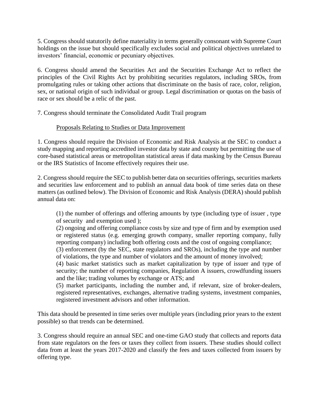5. Congress should statutorily define materiality in terms generally consonant with Supreme Court holdings on the issue but should specifically excludes social and political objectives unrelated to investors' financial, economic or pecuniary objectives.

6. Congress should amend the Securities Act and the Securities Exchange Act to reflect the principles of the Civil Rights Act by prohibiting securities regulators, including SROs, from promulgating rules or taking other actions that discriminate on the basis of race, color, religion, sex, or national origin of such individual or group. Legal discrimination or quotas on the basis of race or sex should be a relic of the past.

7. Congress should terminate the Consolidated Audit Trail program

# Proposals Relating to Studies or Data Improvement

1. Congress should require the Division of Economic and Risk Analysis at the SEC to conduct a study mapping and reporting accredited investor data by state and county but permitting the use of core-based statistical areas or metropolitan statistical areas if data masking by the Census Bureau or the IRS Statistics of Income effectively requires their use.

2. Congress should require the SEC to publish better data on securities offerings, securities markets and securities law enforcement and to publish an annual data book of time series data on these matters (as outlined below). The Division of Economic and Risk Analysis (DERA) should publish annual data on:

(1) the number of offerings and offering amounts by type (including type of issuer , type of security and exemption used );

(2) ongoing and offering compliance costs by size and type of firm and by exemption used or registered status (e.g. emerging growth company, smaller reporting company, fully reporting company) including both offering costs and the cost of ongoing compliance;

(3) enforcement (by the SEC, state regulators and SROs), including the type and number of violations, the type and number of violators and the amount of money involved;

(4) basic market statistics such as market capitalization by type of issuer and type of security; the number of reporting companies, Regulation A issuers, crowdfunding issuers and the like; trading volumes by exchange or ATS; and

(5) market participants, including the number and, if relevant, size of broker-dealers, registered representatives, exchanges, alternative trading systems, investment companies, registered investment advisors and other information.

This data should be presented in time series over multiple years (including prior years to the extent possible) so that trends can be determined.

3. Congress should require an annual SEC and one-time GAO study that collects and reports data from state regulators on the fees or taxes they collect from issuers. These studies should collect data from at least the years 2017-2020 and classify the fees and taxes collected from issuers by offering type.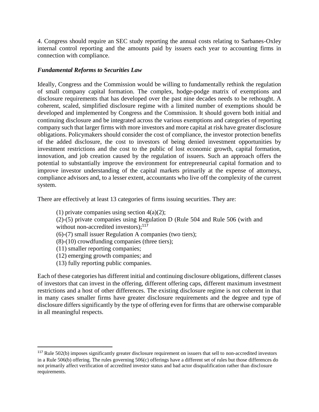4. Congress should require an SEC study reporting the annual costs relating to Sarbanes-Oxley internal control reporting and the amounts paid by issuers each year to accounting firms in connection with compliance.

## *Fundamental Reforms to Securities Law*

Ideally, Congress and the Commission would be willing to fundamentally rethink the regulation of small company capital formation. The complex, hodge-podge matrix of exemptions and disclosure requirements that has developed over the past nine decades needs to be rethought. A coherent, scaled, simplified disclosure regime with a limited number of exemptions should be developed and implemented by Congress and the Commission. It should govern both initial and continuing disclosure and be integrated across the various exemptions and categories of reporting company such that larger firms with more investors and more capital at risk have greater disclosure obligations. Policymakers should consider the cost of compliance, the investor protection benefits of the added disclosure, the cost to investors of being denied investment opportunities by investment restrictions and the cost to the public of lost economic growth, capital formation, innovation, and job creation caused by the regulation of issuers. Such an approach offers the potential to substantially improve the environment for entrepreneurial capital formation and to improve investor understanding of the capital markets primarily at the expense of attorneys, compliance advisors and, to a lesser extent, accountants who live off the complexity of the current system.

There are effectively at least 13 categories of firms issuing securities. They are:

(1) private companies using section  $4(a)(2)$ ; (2)-(5) private companies using Regulation D (Rule 504 and Rule 506 (with and without non-accredited investors);<sup>117</sup> (6)-(7) small issuer Regulation A companies (two tiers); (8)-(10) crowdfunding companies (three tiers); (11) smaller reporting companies; (12) emerging growth companies; and

(13) fully reporting public companies.

Each of these categories has different initial and continuing disclosure obligations, different classes of investors that can invest in the offering, different offering caps, different maximum investment restrictions and a host of other differences. The existing disclosure regime is not coherent in that in many cases smaller firms have greater disclosure requirements and the degree and type of disclosure differs significantly by the type of offering even for firms that are otherwise comparable in all meaningful respects.

 $117$  Rule 502(b) imposes significantly greater disclosure requirement on issuers that sell to non-accredited investors in a Rule 506(b) offering. The rules governing 506(c) offerings have a different set of rules but those differences do not primarily affect verification of accredited investor status and bad actor disqualification rather than disclosure requirements.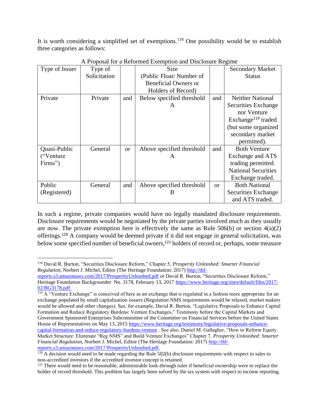It is worth considering a simplified set of exemptions.<sup>118</sup> One possibility would be to establish three categories as follows:

| Type of Issuer | Type of      |           | <b>Size</b>                 |          | <b>Secondary Market</b>        |
|----------------|--------------|-----------|-----------------------------|----------|--------------------------------|
|                | Solicitation |           | (Public Float/Number of     |          | <b>Status</b>                  |
|                |              |           | <b>Beneficial Owners or</b> |          |                                |
|                |              |           | Holders of Record)          |          |                                |
| Private        | Private      | and       | Below specified threshold   | and      | <b>Neither National</b>        |
|                |              |           | A                           |          | Securities Exchange            |
|                |              |           |                             |          | nor Venture                    |
|                |              |           |                             |          | Exchange <sup>119</sup> traded |
|                |              |           |                             |          | (but some organized            |
|                |              |           |                             |          | secondary market               |
|                |              |           |                             |          | permitted).                    |
| Quasi-Public   | General      | <b>or</b> | Above specified threshold   | and      | <b>Both Venture</b>            |
| ("Venture")    |              |           | A                           |          | Exchange and ATS               |
| Firms")        |              |           |                             |          | trading permitted.             |
|                |              |           |                             |          | <b>National Securities</b>     |
|                |              |           |                             |          | Exchange traded.               |
| Public         | General      | and       | Above specified threshold   | $\alpha$ | <b>Both National</b>           |
| (Registered)   |              |           | В                           |          | Securities Exchange            |
|                |              |           |                             |          | and ATS traded.                |

A Proposal for a Reformed Exemption and Disclosure Regime

In such a regime, private companies would have no legally mandated disclosure requirements. Disclosure requirements would be negotiated by the private parties involved much as they usually are now. The private exemption here is effectively the same as Rule  $506(b)$  or section  $4(a)(2)$ offerings.<sup>120</sup> A company would be deemed private if it did not engage in general solicitation, was below some specified number of beneficial owners,<sup>121</sup> holders of record or, perhaps, some measure

[reports.s3.amazonaws.com/2017/ProsperityUnleashed.pdf](http://thf-reports.s3.amazonaws.com/2017/ProsperityUnleashed.pdf) or David R. Burton, "Securities Disclosure Reform," Heritage Foundation Backgrounder No. 3178, February 13, 2017 [https://www.heritage.org/sites/default/files/2017-](https://www.heritage.org/sites/default/files/2017-02/BG3178.pdf) [02/BG3178.pdf.](https://www.heritage.org/sites/default/files/2017-02/BG3178.pdf)

 $119$  A "Venture Exchange" is conceived of here as an exchange that is regulated in a fashion more appropriate for an exchange populated by small capitalization issuers (Regulation NMS requirements would be relaxed, market makers would be allowed and other changes). See, for example, David R. Burton, "Legislative Proposals to Enhance Capital Formation and Reduce Regulatory Burdens: Venture Exchanges," Testimony before the Capital Markets and Government Sponsored Enterprises Subcommittee of the Committee on Financial Services before the United States House of Representatives on May 13, 2015 [https://www.heritage.org/testimony/legislative-proposals-enhance](https://www.heritage.org/testimony/legislative-proposals-enhance-capital-formation-and-reduce-regulatory-burdens-venture)[capital-formation-and-reduce-regulatory-burdens-venture](https://www.heritage.org/testimony/legislative-proposals-enhance-capital-formation-and-reduce-regulatory-burdens-venture) . See also, Daniel M. Gallagher, "How to Reform Equity Market Structure: Eliminate "Reg NMS" and Build Venture Exchanges" Chapter 7, *Prosperity Unleashed: Smarter Financial Regulation*, Norbert J. Michel, Editor (The Heritage Foundation: 2017) [http://thf](http://thf-reports.s3.amazonaws.com/2017/ProsperityUnleashed.pdf)[reports.s3.amazonaws.com/2017/ProsperityUnleashed.pdf.](http://thf-reports.s3.amazonaws.com/2017/ProsperityUnleashed.pdf)

<sup>118</sup> David R. Burton, "Securities Disclosure Reform," Chapter 5, *Prosperity Unleashed: Smarter Financial Regulation*, Norbert J. Michel, Editor (The Heritage Foundation: 2017) [http://thf-](http://thf-reports.s3.amazonaws.com/2017/ProsperityUnleashed.pdf)

 $120$  A decision would need to be made regarding the Rule 502(b) disclosure requirements with respect to sales to non-accredited investors if the accredited investor concept is retained.

<sup>&</sup>lt;sup>121</sup> There would need to be reasonable, administrable look-through rules if beneficial ownership were to replace the holder of record threshold. This problem has largely been solved by the tax system with respect to income reporting.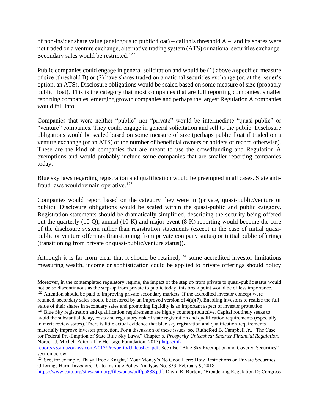of non-insider share value (analogous to public float) – call this threshold  $A-$  and its shares were not traded on a venture exchange, alternative trading system (ATS) or national securities exchange. Secondary sales would be restricted.<sup>122</sup>

Public companies could engage in general solicitation and would be (1) above a specified measure of size (threshold B) or (2) have shares traded on a national securities exchange (or, at the issuer's option, an ATS). Disclosure obligations would be scaled based on some measure of size (probably public float). This is the category that most companies that are full reporting companies, smaller reporting companies, emerging growth companies and perhaps the largest Regulation A companies would fall into.

Companies that were neither "public" nor "private" would be intermediate "quasi-public" or "venture" companies. They could engage in general solicitation and sell to the public. Disclosure obligations would be scaled based on some measure of size (perhaps public float if traded on a venture exchange (or an ATS) or the number of beneficial owners or holders of record otherwise). These are the kind of companies that are meant to use the crowdfunding and Regulation A exemptions and would probably include some companies that are smaller reporting companies today.

Blue sky laws regarding registration and qualification would be preempted in all cases. State antifraud laws would remain operative.<sup>123</sup>

Companies would report based on the category they were in (private, quasi-public/venture or public). Disclosure obligations would be scaled within the quasi-public and public category. Registration statements should be dramatically simplified, describing the security being offered but the quarterly (10-Q), annual (10-K) and major event (8-K) reporting would become the core of the disclosure system rather than registration statements (except in the case of initial quasipublic or venture offerings (transitioning from private company status) or initial public offerings (transitioning from private or quasi-public/venture status)).

Although it is far from clear that it should be retained, $124$  some accredited investor limitations measuring wealth, income or sophistication could be applied to private offerings should policy

retained, secondary sales should be fostered by an improved version of  $4(a)(7)$ . Enabling investors to realize the full value of their shares in secondary sales and promoting liquidity is an important aspect of investor protection.

Moreover, in the contemplated regulatory regime, the impact of the step up from private to quasi-public status would not be so discontinuous as the step-up from private to public today, this break point would be of less importance. <sup>122</sup> Attention should be paid to improving private secondary markets. If the accredited investor concept were

<sup>&</sup>lt;sup>123</sup> Blue Sky registration and qualification requirements are highly counterproductive. Capital routinely seeks to avoid the substantial delay, costs and regulatory risk of state registration and qualification requirements (especially in merit review states). There is little actual evidence that blue sky registration and qualification requirements materially improve investor protection. For a discussion of these issues, see Rutheford B. Campbell Jr., "The Case for Federal Pre-Emption of State Blue Sky Laws," Chapter 6, *Prosperity Unleashed: Smarter Financial Regulation*, Norbert J. Michel, Editor (The Heritage Foundation: 2017) [http://thf-](http://thf-reports.s3.amazonaws.com/2017/ProsperityUnleashed.pdf)

[reports.s3.amazonaws.com/2017/ProsperityUnleashed.pdf.](http://thf-reports.s3.amazonaws.com/2017/ProsperityUnleashed.pdf) See also "Blue Sky Preemption and Covered Securities" section below.

<sup>&</sup>lt;sup>124</sup> See, for example, Thaya Brook Knight, "Your Money's No Good Here: How Restrictions on Private Securities Offerings Harm Investors," Cato Institute Policy Analysis No. 833, February 9, 2018

[https://www.cato.org/sites/cato.org/files/pubs/pdf/pa833.pdf;](https://www.cato.org/sites/cato.org/files/pubs/pdf/pa833.pdf) David R. Burton, "Broadening Regulation D: Congress